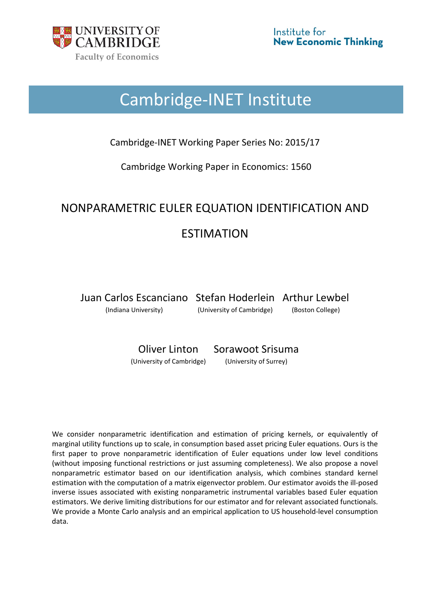

# Cambridge-INET Institute

Cambridge-INET Working Paper Series No: 2015/17

Cambridge Working Paper in Economics: 1560

# NONPARAMETRIC EULER EQUATION IDENTIFICATION AND ESTIMATION

Juan Carlos Escanciano Stefan Hoderlein Arthur Lewbel

(Indiana University) (University of Cambridge) (Boston College)

Oliver Linton Sorawoot Srisuma

(University of Cambridge) (University of Surrey)

We consider nonparametric identification and estimation of pricing kernels, or equivalently of marginal utility functions up to scale, in consumption based asset pricing Euler equations. Ours is the first paper to prove nonparametric identification of Euler equations under low level conditions (without imposing functional restrictions or just assuming completeness). We also propose a novel nonparametric estimator based on our identification analysis, which combines standard kernel estimation with the computation of a matrix eigenvector problem. Our estimator avoids the ill-posed inverse issues associated with existing nonparametric instrumental variables based Euler equation estimators. We derive limiting distributions for our estimator and for relevant associated functionals. We provide a Monte Carlo analysis and an empirical application to US household-level consumption data.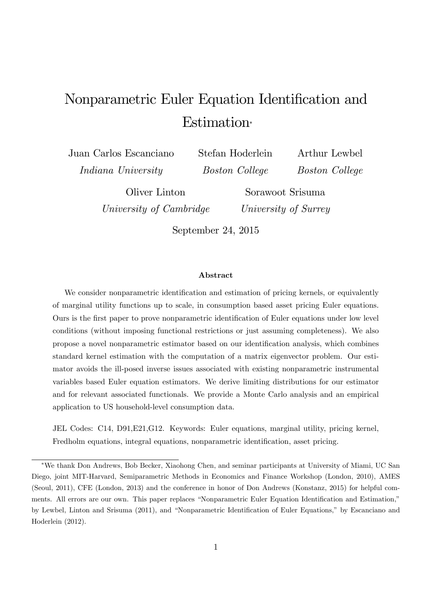# Nonparametric Euler Equation Identification and Estimation

Juan Carlos Escanciano Indiana University

Stefan Hoderlein Boston College

Arthur Lewbel Boston College

Oliver Linton University of Cambridge

Sorawoot Srisuma University of Surrey

September 24, 2015

#### Abstract

We consider nonparametric identification and estimation of pricing kernels, or equivalently of marginal utility functions up to scale, in consumption based asset pricing Euler equations. Ours is the first paper to prove nonparametric identification of Euler equations under low level conditions (without imposing functional restrictions or just assuming completeness). We also propose a novel nonparametric estimator based on our identiÖcation analysis, which combines standard kernel estimation with the computation of a matrix eigenvector problem. Our estimator avoids the ill-posed inverse issues associated with existing nonparametric instrumental variables based Euler equation estimators. We derive limiting distributions for our estimator and for relevant associated functionals. We provide a Monte Carlo analysis and an empirical application to US household-level consumption data.

JEL Codes: C14, D91,E21,G12. Keywords: Euler equations, marginal utility, pricing kernel, Fredholm equations, integral equations, nonparametric identification, asset pricing.

We thank Don Andrews, Bob Becker, Xiaohong Chen, and seminar participants at University of Miami, UC San Diego, joint MIT-Harvard, Semiparametric Methods in Economics and Finance Workshop (London, 2010), AMES (Seoul, 2011), CFE (London, 2013) and the conference in honor of Don Andrews (Konstanz, 2015) for helpful comments. All errors are our own. This paper replaces "Nonparametric Euler Equation Identification and Estimation," by Lewbel, Linton and Srisuma (2011), and "Nonparametric Identification of Euler Equations," by Escanciano and Hoderlein (2012).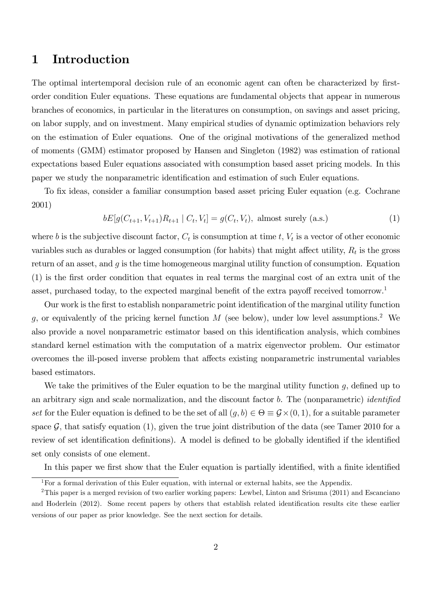## 1 Introduction

The optimal intertemporal decision rule of an economic agent can often be characterized by firstorder condition Euler equations. These equations are fundamental objects that appear in numerous branches of economics, in particular in the literatures on consumption, on savings and asset pricing, on labor supply, and on investment. Many empirical studies of dynamic optimization behaviors rely on the estimation of Euler equations. One of the original motivations of the generalized method of moments (GMM) estimator proposed by Hansen and Singleton (1982) was estimation of rational expectations based Euler equations associated with consumption based asset pricing models. In this paper we study the nonparametric identification and estimation of such Euler equations.

To fix ideas, consider a familiar consumption based asset pricing Euler equation (e.g. Cochrane 2001)

$$
bE[g(C_{t+1}, V_{t+1})R_{t+1} | C_t, V_t] = g(C_t, V_t), \text{ almost surely (a.s.)}
$$
 (1)

where b is the subjective discount factor,  $C_t$  is consumption at time t,  $V_t$  is a vector of other economic variables such as durables or lagged consumption (for habits) that might affect utility,  $R_t$  is the gross return of an asset, and  $g$  is the time homogeneous marginal utility function of consumption. Equation (1) is the Örst order condition that equates in real terms the marginal cost of an extra unit of the asset, purchased today, to the expected marginal benefit of the extra payoff received tomorrow.<sup>1</sup>

Our work is the first to establish nonparametric point identification of the marginal utility function g, or equivalently of the pricing kernel function  $M$  (see below), under low level assumptions.<sup>2</sup> We also provide a novel nonparametric estimator based on this identification analysis, which combines standard kernel estimation with the computation of a matrix eigenvector problem. Our estimator overcomes the ill-posed inverse problem that affects existing nonparametric instrumental variables based estimators.

We take the primitives of the Euler equation to be the marginal utility function  $g$ , defined up to an arbitrary sign and scale normalization, and the discount factor  $b$ . The (nonparametric) *identified* set for the Euler equation is defined to be the set of all  $(g, b) \in \Theta \equiv \mathcal{G} \times (0, 1)$ , for a suitable parameter space  $\mathcal{G}$ , that satisfy equation (1), given the true joint distribution of the data (see Tamer 2010 for a review of set identification definitions). A model is defined to be globally identified if the identified set only consists of one element.

In this paper we first show that the Euler equation is partially identified, with a finite identified

<sup>&</sup>lt;sup>1</sup>For a formal derivation of this Euler equation, with internal or external habits, see the Appendix.

<sup>&</sup>lt;sup>2</sup>This paper is a merged revision of two earlier working papers: Lewbel, Linton and Srisuma (2011) and Escanciano and Hoderlein (2012). Some recent papers by others that establish related identification results cite these earlier versions of our paper as prior knowledge. See the next section for details.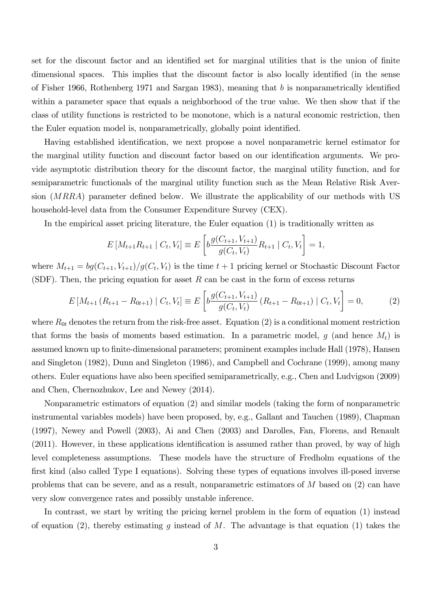set for the discount factor and an identified set for marginal utilities that is the union of finite dimensional spaces. This implies that the discount factor is also locally identified (in the sense of Fisher 1966, Rothenberg 1971 and Sargan 1983), meaning that b is nonparametrically identified within a parameter space that equals a neighborhood of the true value. We then show that if the class of utility functions is restricted to be monotone, which is a natural economic restriction, then the Euler equation model is, nonparametrically, globally point identified.

Having established identification, we next propose a novel nonparametric kernel estimator for the marginal utility function and discount factor based on our identification arguments. We provide asymptotic distribution theory for the discount factor, the marginal utility function, and for semiparametric functionals of the marginal utility function such as the Mean Relative Risk Aversion  $(MRRA)$  parameter defined below. We illustrate the applicability of our methods with US household-level data from the Consumer Expenditure Survey (CEX).

In the empirical asset pricing literature, the Euler equation (1) is traditionally written as

$$
E\left[M_{t+1}R_{t+1} \mid C_t, V_t\right] \equiv E\left[b\frac{g(C_{t+1}, V_{t+1})}{g(C_t, V_t)}R_{t+1} \mid C_t, V_t\right] = 1,
$$

where  $M_{t+1} = bg(C_{t+1}, V_{t+1})/g(C_t, V_t)$  is the time  $t+1$  pricing kernel or Stochastic Discount Factor (SDF). Then, the pricing equation for asset  $R$  can be cast in the form of excess returns

$$
E\left[M_{t+1}\left(R_{t+1}-R_{0t+1}\right) \mid C_t, V_t\right] \equiv E\left[b\frac{g(C_{t+1}, V_{t+1})}{g(C_t, V_t)}\left(R_{t+1}-R_{0t+1}\right) \mid C_t, V_t\right] = 0,\tag{2}
$$

where  $R_{0t}$  denotes the return from the risk-free asset. Equation (2) is a conditional moment restriction that forms the basis of moments based estimation. In a parametric model, q (and hence  $M_t$ ) is assumed known up to finite-dimensional parameters; prominent examples include Hall (1978), Hansen and Singleton (1982), Dunn and Singleton (1986), and Campbell and Cochrane (1999), among many others. Euler equations have also been specified semiparametrically, e.g., Chen and Ludvigson (2009) and Chen, Chernozhukov, Lee and Newey (2014).

Nonparametric estimators of equation (2) and similar models (taking the form of nonparametric instrumental variables models) have been proposed, by, e.g., Gallant and Tauchen (1989), Chapman (1997), Newey and Powell (2003), Ai and Chen (2003) and Darolles, Fan, Florens, and Renault  $(2011)$ . However, in these applications identification is assumed rather than proved, by way of high level completeness assumptions. These models have the structure of Fredholm equations of the first kind (also called Type I equations). Solving these types of equations involves ill-posed inverse problems that can be severe, and as a result, nonparametric estimators of M based on (2) can have very slow convergence rates and possibly unstable inference.

In contrast, we start by writing the pricing kernel problem in the form of equation (1) instead of equation (2), thereby estimating q instead of M. The advantage is that equation (1) takes the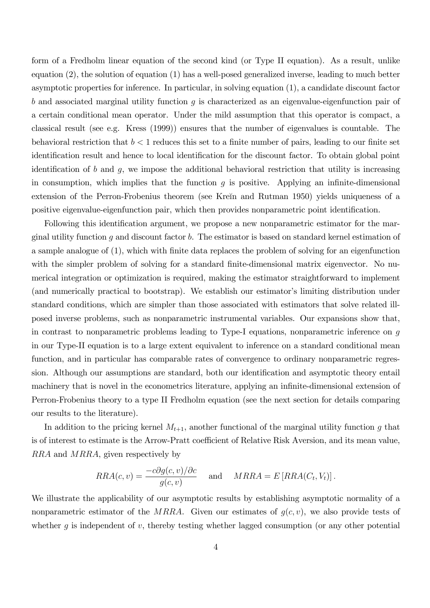form of a Fredholm linear equation of the second kind (or Type II equation). As a result, unlike equation (2), the solution of equation (1) has a well-posed generalized inverse, leading to much better asymptotic properties for inference. In particular, in solving equation (1), a candidate discount factor b and associated marginal utility function  $q$  is characterized as an eigenvalue-eigenfunction pair of a certain conditional mean operator. Under the mild assumption that this operator is compact, a classical result (see e.g. Kress (1999)) ensures that the number of eigenvalues is countable. The behavioral restriction that  $b < 1$  reduces this set to a finite number of pairs, leading to our finite set identification result and hence to local identification for the discount factor. To obtain global point identification of b and g, we impose the additional behavioral restriction that utility is increasing in consumption, which implies that the function  $q$  is positive. Applying an infinite-dimensional extension of the Perron-Frobenius theorem (see Krein and Rutman 1950) yields uniqueness of a positive eigenvalue-eigenfunction pair, which then provides nonparametric point identification.

Following this identification argument, we propose a new nonparametric estimator for the marginal utility function  $q$  and discount factor  $b$ . The estimator is based on standard kernel estimation of a sample analogue of  $(1)$ , which with finite data replaces the problem of solving for an eigenfunction with the simpler problem of solving for a standard finite-dimensional matrix eigenvector. No numerical integration or optimization is required, making the estimator straightforward to implement (and numerically practical to bootstrap). We establish our estimator's limiting distribution under standard conditions, which are simpler than those associated with estimators that solve related illposed inverse problems, such as nonparametric instrumental variables. Our expansions show that, in contrast to nonparametric problems leading to Type-I equations, nonparametric inference on g in our Type-II equation is to a large extent equivalent to inference on a standard conditional mean function, and in particular has comparable rates of convergence to ordinary nonparametric regression. Although our assumptions are standard, both our identification and asymptotic theory entail machinery that is novel in the econometrics literature, applying an infinite-dimensional extension of Perron-Frobenius theory to a type II Fredholm equation (see the next section for details comparing our results to the literature).

In addition to the pricing kernel  $M_{t+1}$ , another functional of the marginal utility function g that is of interest to estimate is the Arrow-Pratt coefficient of Relative Risk Aversion, and its mean value, RRA and MRRA, given respectively by

$$
RRA(c, v) = \frac{-c\partial g(c, v)/\partial c}{g(c, v)} \quad \text{and} \quad MRRA = E\left[RRA(C_t, V_t)\right].
$$

We illustrate the applicability of our asymptotic results by establishing asymptotic normality of a nonparametric estimator of the MRRA. Given our estimates of  $g(c, v)$ , we also provide tests of whether q is independent of  $v$ , thereby testing whether lagged consumption (or any other potential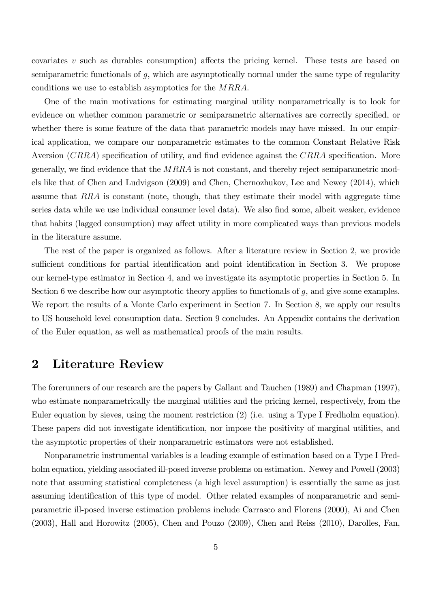covariates v such as durables consumption) affects the pricing kernel. These tests are based on semiparametric functionals of g, which are asymptotically normal under the same type of regularity conditions we use to establish asymptotics for the MRRA.

One of the main motivations for estimating marginal utility nonparametrically is to look for evidence on whether common parametric or semiparametric alternatives are correctly specified, or whether there is some feature of the data that parametric models may have missed. In our empirical application, we compare our nonparametric estimates to the common Constant Relative Risk Aversion  $(CRRA)$  specification of utility, and find evidence against the  $CRRA$  specification. More generally, we find evidence that the  $MRRA$  is not constant, and thereby reject semiparametric models like that of Chen and Ludvigson (2009) and Chen, Chernozhukov, Lee and Newey (2014), which assume that RRA is constant (note, though, that they estimate their model with aggregate time series data while we use individual consumer level data). We also find some, albeit weaker, evidence that habits (lagged consumption) may affect utility in more complicated ways than previous models in the literature assume.

The rest of the paper is organized as follows. After a literature review in Section 2, we provide sufficient conditions for partial identification and point identification in Section 3. We propose our kernel-type estimator in Section 4, and we investigate its asymptotic properties in Section 5. In Section 6 we describe how our asymptotic theory applies to functionals of  $g$ , and give some examples. We report the results of a Monte Carlo experiment in Section 7. In Section 8, we apply our results to US household level consumption data. Section 9 concludes. An Appendix contains the derivation of the Euler equation, as well as mathematical proofs of the main results.

## 2 Literature Review

The forerunners of our research are the papers by Gallant and Tauchen (1989) and Chapman (1997), who estimate nonparametrically the marginal utilities and the pricing kernel, respectively, from the Euler equation by sieves, using the moment restriction (2) (i.e. using a Type I Fredholm equation). These papers did not investigate identification, nor impose the positivity of marginal utilities, and the asymptotic properties of their nonparametric estimators were not established.

Nonparametric instrumental variables is a leading example of estimation based on a Type I Fredholm equation, yielding associated ill-posed inverse problems on estimation. Newey and Powell (2003) note that assuming statistical completeness (a high level assumption) is essentially the same as just assuming identification of this type of model. Other related examples of nonparametric and semiparametric ill-posed inverse estimation problems include Carrasco and Florens (2000), Ai and Chen (2003), Hall and Horowitz (2005), Chen and Pouzo (2009), Chen and Reiss (2010), Darolles, Fan,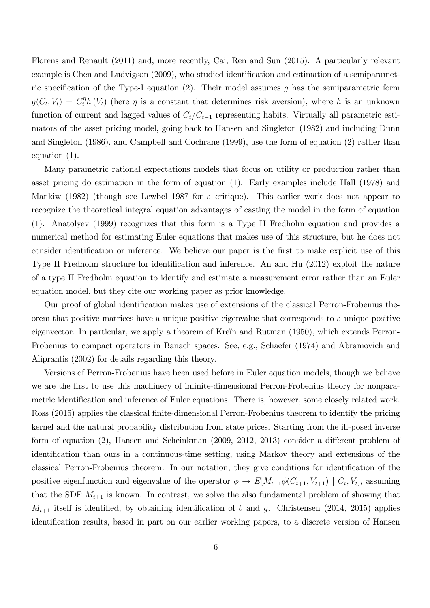Florens and Renault (2011) and, more recently, Cai, Ren and Sun (2015). A particularly relevant example is Chen and Ludvigson (2009), who studied identification and estimation of a semiparametric specification of the Type-I equation (2). Their model assumes g has the semiparametric form  $g(C_t, V_t) = C_t^{\eta} h(V_t)$  (here  $\eta$  is a constant that determines risk aversion), where h is an unknown function of current and lagged values of  $C_t/C_{t-1}$  representing habits. Virtually all parametric estimators of the asset pricing model, going back to Hansen and Singleton (1982) and including Dunn and Singleton (1986), and Campbell and Cochrane (1999), use the form of equation (2) rather than equation (1).

Many parametric rational expectations models that focus on utility or production rather than asset pricing do estimation in the form of equation (1). Early examples include Hall (1978) and Mankiw (1982) (though see Lewbel 1987 for a critique). This earlier work does not appear to recognize the theoretical integral equation advantages of casting the model in the form of equation (1). Anatolyev (1999) recognizes that this form is a Type II Fredholm equation and provides a numerical method for estimating Euler equations that makes use of this structure, but he does not consider identification or inference. We believe our paper is the first to make explicit use of this Type II Fredholm structure for identification and inference. An and Hu (2012) exploit the nature of a type II Fredholm equation to identify and estimate a measurement error rather than an Euler equation model, but they cite our working paper as prior knowledge.

Our proof of global identification makes use of extensions of the classical Perron-Frobenius theorem that positive matrices have a unique positive eigenvalue that corresponds to a unique positive eigenvector. In particular, we apply a theorem of Kreïn and Rutman (1950), which extends Perron-Frobenius to compact operators in Banach spaces. See, e.g., Schaefer (1974) and Abramovich and Aliprantis (2002) for details regarding this theory.

Versions of Perron-Frobenius have been used before in Euler equation models, though we believe we are the first to use this machinery of infinite-dimensional Perron-Frobenius theory for nonparametric identification and inference of Euler equations. There is, however, some closely related work. Ross (2015) applies the classical finite-dimensional Perron-Frobenius theorem to identify the pricing kernel and the natural probability distribution from state prices. Starting from the ill-posed inverse form of equation  $(2)$ , Hansen and Scheinkman  $(2009, 2012, 2013)$  consider a different problem of identification than ours in a continuous-time setting, using Markov theory and extensions of the classical Perron-Frobenius theorem. In our notation, they give conditions for identification of the positive eigenfunction and eigenvalue of the operator  $\phi \to E[M_{t+1}\phi(C_{t+1}, V_{t+1}) \mid C_t, V_t]$ , assuming that the SDF  $M_{t+1}$  is known. In contrast, we solve the also fundamental problem of showing that  $M_{t+1}$  itself is identified, by obtaining identification of b and g. Christensen (2014, 2015) applies identification results, based in part on our earlier working papers, to a discrete version of Hansen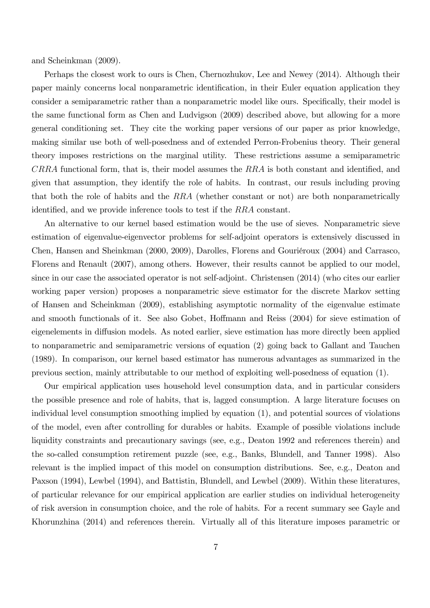and Scheinkman (2009).

Perhaps the closest work to ours is Chen, Chernozhukov, Lee and Newey (2014). Although their paper mainly concerns local nonparametric identification, in their Euler equation application they consider a semiparametric rather than a nonparametric model like ours. Specifically, their model is the same functional form as Chen and Ludvigson (2009) described above, but allowing for a more general conditioning set. They cite the working paper versions of our paper as prior knowledge, making similar use both of well-posedness and of extended Perron-Frobenius theory. Their general theory imposes restrictions on the marginal utility. These restrictions assume a semiparametric  $CRRA$  functional form, that is, their model assumes the  $RRA$  is both constant and identified, and given that assumption, they identify the role of habits. In contrast, our resuls including proving that both the role of habits and the RRA (whether constant or not) are both nonparametrically identified, and we provide inference tools to test if the RRA constant.

An alternative to our kernel based estimation would be the use of sieves. Nonparametric sieve estimation of eigenvalue-eigenvector problems for self-adjoint operators is extensively discussed in Chen, Hansen and Sheinkman (2000, 2009), Darolles, Florens and Gouriéroux (2004) and Carrasco, Florens and Renault (2007), among others. However, their results cannot be applied to our model, since in our case the associated operator is not self-adjoint. Christensen (2014) (who cites our earlier working paper version) proposes a nonparametric sieve estimator for the discrete Markov setting of Hansen and Scheinkman (2009), establishing asymptotic normality of the eigenvalue estimate and smooth functionals of it. See also Gobet, Hoffmann and Reiss (2004) for sieve estimation of eigenelements in diffusion models. As noted earlier, sieve estimation has more directly been applied to nonparametric and semiparametric versions of equation (2) going back to Gallant and Tauchen (1989). In comparison, our kernel based estimator has numerous advantages as summarized in the previous section, mainly attributable to our method of exploiting well-posedness of equation (1).

Our empirical application uses household level consumption data, and in particular considers the possible presence and role of habits, that is, lagged consumption. A large literature focuses on individual level consumption smoothing implied by equation (1), and potential sources of violations of the model, even after controlling for durables or habits. Example of possible violations include liquidity constraints and precautionary savings (see, e.g., Deaton 1992 and references therein) and the so-called consumption retirement puzzle (see, e.g., Banks, Blundell, and Tanner 1998). Also relevant is the implied impact of this model on consumption distributions. See, e.g., Deaton and Paxson (1994), Lewbel (1994), and Battistin, Blundell, and Lewbel (2009). Within these literatures, of particular relevance for our empirical application are earlier studies on individual heterogeneity of risk aversion in consumption choice, and the role of habits. For a recent summary see Gayle and Khorunzhina (2014) and references therein. Virtually all of this literature imposes parametric or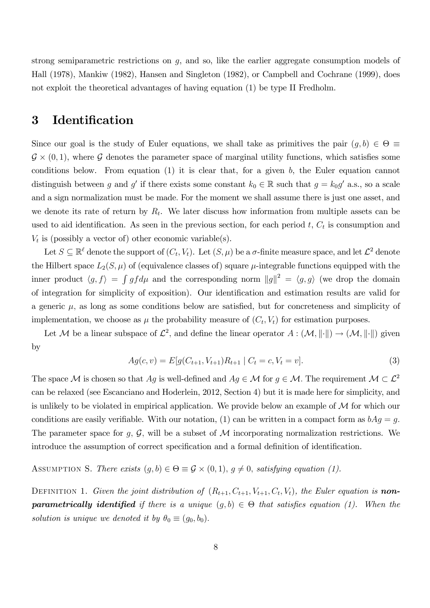strong semiparametric restrictions on g, and so, like the earlier aggregate consumption models of Hall (1978), Mankiw (1982), Hansen and Singleton (1982), or Campbell and Cochrane (1999), does not exploit the theoretical advantages of having equation (1) be type II Fredholm.

## 3 Identification

Since our goal is the study of Euler equations, we shall take as primitives the pair  $(g, b) \in \Theta \equiv$  $\mathcal{G} \times (0,1)$ , where  $\mathcal{G}$  denotes the parameter space of marginal utility functions, which satisfies some conditions below. From equation  $(1)$  it is clear that, for a given b, the Euler equation cannot distinguish between g and g' if there exists some constant  $k_0 \in \mathbb{R}$  such that  $g = k_0 g'$  a.s., so a scale and a sign normalization must be made: For the moment we shall assume there is just one asset, and we denote its rate of return by  $R_t$ . We later discuss how information from multiple assets can be used to aid identification. As seen in the previous section, for each period  $t, C_t$  is consumption and  $V_t$  is (possibly a vector of) other economic variable(s).

Let  $S \subseteq \mathbb{R}^{\ell}$  denote the support of  $(C_t, V_t)$ . Let  $(S, \mu)$  be a  $\sigma$ -finite measure space, and let  $\mathcal{L}^2$  denote the Hilbert space  $L_2(S,\mu)$  of (equivalence classes of) square  $\mu$ -integrable functions equipped with the inner product  $\langle g, f \rangle = \int g f d\mu$  and the corresponding norm  $||g||^2 = \langle g, g \rangle$  (we drop the domain of integration for simplicity of exposition). Our identification and estimation results are valid for a generic  $\mu$ , as long as some conditions below are satisfied, but for concreteness and simplicity of implementation, we choose as  $\mu$  the probability measure of  $(C_t, V_t)$  for estimation purposes.

Let M be a linear subspace of  $\mathcal{L}^2$ , and define the linear operator  $A: (\mathcal{M}, \|\cdot\|) \to (\mathcal{M}, \|\cdot\|)$  given by

$$
Ag(c, v) = E[g(C_{t+1}, V_{t+1})R_{t+1} | C_t = c, V_t = v].
$$
\n(3)

The space M is chosen so that  $Ag$  is well-defined and  $Ag \in \mathcal{M}$  for  $g \in \mathcal{M}$ . The requirement  $\mathcal{M} \subset \mathcal{L}^2$ can be relaxed (see Escanciano and Hoderlein, 2012, Section 4) but it is made here for simplicity, and is unlikely to be violated in empirical application. We provide below an example of  $\mathcal M$  for which our conditions are easily verifiable. With our notation, (1) can be written in a compact form as  $bAg = g$ . The parameter space for g,  $\mathcal{G}$ , will be a subset of M incorporating normalization restrictions. We introduce the assumption of correct specification and a formal definition of identification.

ASSUMPTION S. There exists  $(g, b) \in \Theta \equiv \mathcal{G} \times (0, 1), g \neq 0$ , satisfying equation (1).

DEFINITION 1. Given the joint distribution of  $(R_{t+1}, C_{t+1}, V_{t+1}, C_t, V_t)$ , the Euler equation is **nonparametrically identified** if there is a unique  $(g, b) \in \Theta$  that satisfies equation (1). When the solution is unique we denoted it by  $\theta_0 \equiv (g_0, b_0)$ .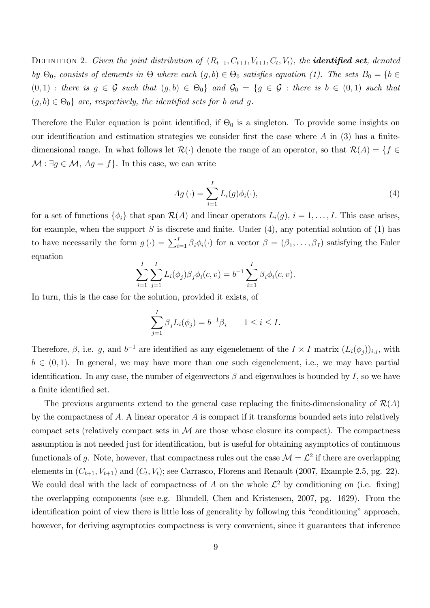DEFINITION 2. Given the joint distribution of  $(R_{t+1}, C_{t+1}, V_{t+1}, C_t, V_t)$ , the **identified set**, denoted by  $\Theta_0$ , consists of elements in  $\Theta$  where each  $(g, b) \in \Theta_0$  satisfies equation (1). The sets  $B_0 = \{b \in$  $(0,1)$  : there is  $g \in \mathcal{G}$  such that  $(g,b) \in \Theta_0$  and  $\mathcal{G}_0 = \{g \in \mathcal{G}$  : there is  $b \in (0,1)$  such that  $(g, b) \in \Theta_0$  are, respectively, the identified sets for b and g.

Therefore the Euler equation is point identified, if  $\Theta_0$  is a singleton. To provide some insights on our identification and estimation strategies we consider first the case where  $A$  in (3) has a finitedimensional range. In what follows let  $\mathcal{R}(\cdot)$  denote the range of an operator, so that  $\mathcal{R}(A) = \{f \in$  $\mathcal{M}: \exists g \in \mathcal{M}, Ag = f$ . In this case, we can write

$$
Ag\left(\cdot\right) = \sum_{i=1}^{I} L_i(g)\phi_i(\cdot),\tag{4}
$$

for a set of functions  $\{\phi_i\}$  that span  $\mathcal{R}(A)$  and linear operators  $L_i(g)$ ,  $i = 1, \ldots, I$ . This case arises, for example, when the support S is discrete and finite. Under  $(4)$ , any potential solution of  $(1)$  has to have necessarily the form  $g(\cdot) = \sum_{i=1}^{I} \beta_i \phi_i(\cdot)$  for a vector  $\beta = (\beta_1, \dots, \beta_I)$  satisfying the Euler equation

$$
\sum_{i=1}^{I} \sum_{j=1}^{I} L_i(\phi_j) \beta_j \phi_i(c, v) = b^{-1} \sum_{i=1}^{I} \beta_i \phi_i(c, v).
$$

In turn, this is the case for the solution, provided it exists, of

$$
\sum_{j=1}^{I} \beta_j L_i(\phi_j) = b^{-1} \beta_i \qquad 1 \le i \le I.
$$

Therefore,  $\beta$ , i.e. g, and  $b^{-1}$  are identified as any eigenelement of the  $I \times I$  matrix  $(L_i(\phi_j))_{i,j}$ , with  $b \in (0, 1)$ . In general, we may have more than one such eigenelement, i.e., we may have partial identification. In any case, the number of eigenvectors  $\beta$  and eigenvalues is bounded by I, so we have a finite identified set.

The previous arguments extend to the general case replacing the finite-dimensionality of  $\mathcal{R}(A)$ by the compactness of A. A linear operator A is compact if it transforms bounded sets into relatively compact sets (relatively compact sets in  $\mathcal M$  are those whose closure its compact). The compactness assumption is not needed just for identification, but is useful for obtaining asymptotics of continuous functionals of g. Note, however, that compactness rules out the case  $\mathcal{M} = \mathcal{L}^2$  if there are overlapping elements in  $(C_{t+1}, V_{t+1})$  and  $(C_t, V_t)$ ; see Carrasco, Florens and Renault (2007, Example 2.5, pg. 22). We could deal with the lack of compactness of A on the whole  $\mathcal{L}^2$  by conditioning on (i.e. fixing) the overlapping components (see e.g. Blundell, Chen and Kristensen, 2007, pg. 1629). From the identification point of view there is little loss of generality by following this "conditioning" approach, however, for deriving asymptotics compactness is very convenient, since it guarantees that inference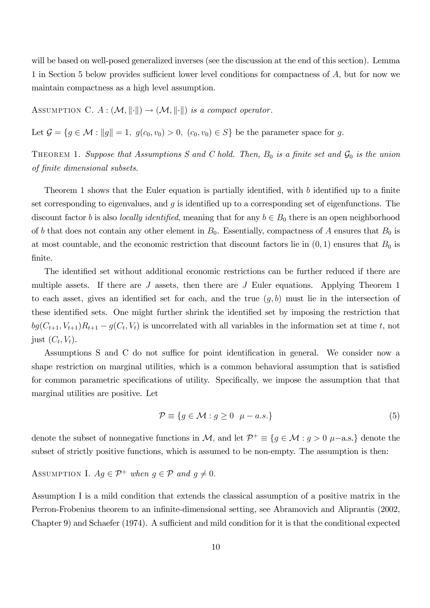will be based on well-posed generalized inverses (see the discussion at the end of this section). Lemma 1 in Section 5 below provides sufficient lower level conditions for compactness of  $A$ , but for now we maintain compactness as a high level assumption.

ASSUMPTION C.  $A : (\mathcal{M}, \|\cdot\|) \to (\mathcal{M}, \|\cdot\|)$  is a compact operator.

Let  $\mathcal{G} = \{g \in \mathcal{M} : ||g|| = 1, g(c_0, v_0) > 0, (c_0, v_0) \in S\}$  be the parameter space for g.

THEOREM 1. Suppose that Assumptions S and C hold. Then,  $B_0$  is a finite set and  $\mathcal{G}_0$  is the union of Önite dimensional subsets.

Theorem 1 shows that the Euler equation is partially identified, with b identified up to a finite set corresponding to eigenvalues, and  $g$  is identified up to a corresponding set of eigenfunctions. The discount factor b is also *locally identified*, meaning that for any  $b \in B_0$  there is an open neighborhood of b that does not contain any other element in  $B_0$ . Essentially, compactness of A ensures that  $B_0$  is at most countable, and the economic restriction that discount factors lie in  $(0, 1)$  ensures that  $B_0$  is finite.

The identified set without additional economic restrictions can be further reduced if there are multiple assets. If there are J assets, then there are J Euler equations. Applying Theorem 1 to each asset, gives an identified set for each, and the true  $(q, b)$  must lie in the intersection of these identified sets. One might further shrink the identified set by imposing the restriction that  $bg(C_{t+1}, V_{t+1})R_{t+1} - g(C_t, V_t)$  is uncorrelated with all variables in the information set at time t, not just  $(C_t, V_t)$ .

Assumptions S and C do not suffice for point identification in general. We consider now a shape restriction on marginal utilities, which is a common behavioral assumption that is satisfied for common parametric specifications of utility. Specifically, we impose the assumption that that marginal utilities are positive. Let

$$
\mathcal{P} \equiv \{ g \in \mathcal{M} : g \ge 0 \mid \mu - a.s. \} \tag{5}
$$

denote the subset of nonnegative functions in M, and let  $\mathcal{P}^+ \equiv \{g \in \mathcal{M} : g > 0 \ \mu-\text{a.s.}\}\$ denote the subset of strictly positive functions, which is assumed to be non-empty. The assumption is then:

## ASSUMPTION I.  $Ag \in \mathcal{P}^+$  when  $g \in \mathcal{P}$  and  $g \neq 0$ .

Assumption I is a mild condition that extends the classical assumption of a positive matrix in the Perron-Frobenius theorem to an infinite-dimensional setting, see Abramovich and Aliprantis (2002, Chapter 9) and Schaefer (1974). A sufficient and mild condition for it is that the conditional expected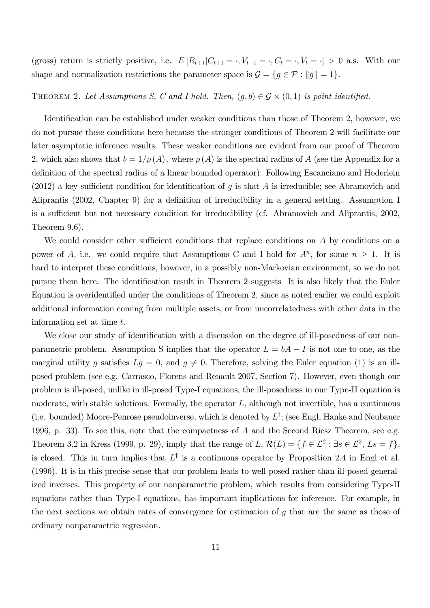(gross) return is strictly positive, i.e.  $E[R_{t+1}|C_{t+1} = \cdot, V_{t+1} = \cdot, C_t = \cdot, V_t = \cdot] > 0$  a.s. With our shape and normalization restrictions the parameter space is  $\mathcal{G} = \{g \in \mathcal{P} : ||g|| = 1\}.$ 

## THEOREM 2. Let Assumptions S, C and I hold. Then,  $(g, b) \in \mathcal{G} \times (0, 1)$  is point identified.

Identification can be established under weaker conditions than those of Theorem 2, however, we do not pursue these conditions here because the stronger conditions of Theorem 2 will facilitate our later asymptotic inference results. These weaker conditions are evident from our proof of Theorem 2, which also shows that  $b = 1/\rho(A)$ , where  $\rho(A)$  is the spectral radius of A (see the Appendix for a definition of the spectral radius of a linear bounded operator). Following Escanciano and Hoderlein (2012) a key sufficient condition for identification of g is that A is irreducible; see Abramovich and Aliprantis (2002, Chapter 9) for a definition of irreducibility in a general setting. Assumption I is a sufficient but not necessary condition for irreducibility (cf. Abramovich and Aliprantis, 2002, Theorem 9.6).

We could consider other sufficient conditions that replace conditions on  $A$  by conditions on a power of A, i.e. we could require that Assumptions C and I hold for  $A<sup>n</sup>$ , for some  $n \ge 1$ . It is hard to interpret these conditions, however, in a possibly non-Markovian environment, so we do not pursue them here. The identification result in Theorem 2 suggests It is also likely that the Euler Equation is overidentified under the conditions of Theorem 2, since as noted earlier we could exploit additional information coming from multiple assets, or from uncorrelatedness with other data in the information set at time t.

We close our study of identification with a discussion on the degree of ill-posedness of our nonparametric problem. Assumption S implies that the operator  $L = bA - I$  is not one-to-one, as the marginal utility g satisfies  $Lg = 0$ , and  $g \neq 0$ . Therefore, solving the Euler equation (1) is an illposed problem (see e.g. Carrasco, Florens and Renault 2007, Section 7). However, even though our problem is ill-posed, unlike in ill-posed Type-I equations, the ill-posedness in our Type-II equation is moderate, with stable solutions. Formally, the operator  $L$ , although not invertible, has a continuous (i.e. bounded) Moore-Penrose pseudoinverse, which is denoted by  $L^{\dagger}$ ; (see Engl, Hanke and Neubauer 1996, p. 33). To see this, note that the compactness of  $A$  and the Second Riesz Theorem, see e.g. Theorem 3.2 in Kress (1999, p. 29), imply that the range of  $L, \mathcal{R}(L) = \{f \in \mathcal{L}^2 : \exists s \in \mathcal{L}^2, Ls = f\},\$ is closed. This in turn implies that  $L^{\dagger}$  is a continuous operator by Proposition 2.4 in Engl et al. (1996). It is in this precise sense that our problem leads to well-posed rather than ill-posed generalized inverses. This property of our nonparametric problem, which results from considering Type-II equations rather than Type-I equations, has important implications for inference. For example, in the next sections we obtain rates of convergence for estimation of g that are the same as those of ordinary nonparametric regression.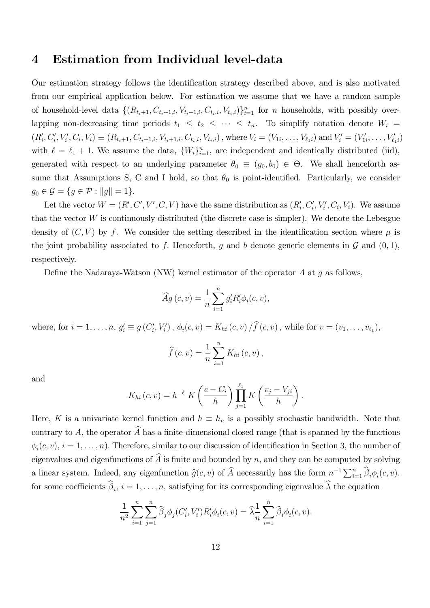## 4 Estimation from Individual level-data

Our estimation strategy follows the identification strategy described above, and is also motivated from our empirical application below. For estimation we assume that we have a random sample of household-level data  $\{(R_{t_i+1}, C_{t_i+1,i}, V_{t_i+1,i}, C_{t_i,i}, V_{t_i,i})\}_{i=1}^n$  for *n* households, with possibly overlapping non-decreasing time periods  $t_1 \leq t_2 \leq \cdots \leq t_n$ . To simplify notation denote  $W_i =$  $(R'_i, C'_i, V'_i, C_i, V_i) \equiv (R_{t_i+1}, C_{t_i+1,i}, V_{t_i+1,i}, C_{t_i,i}, V_{t_i,i})$ , where  $V_i = (V_{1i}, \ldots, V_{\ell_1 i})$  and  $V'_i = (V'_{1i}, \ldots, V'_{\ell_1 i})$ with  $\ell = \ell_1 + 1$ . We assume the data,  $\{W_i\}_{i=1}^n$ , are independent and identically distributed (iid), generated with respect to an underlying parameter  $\theta_0 \equiv (g_0, b_0) \in \Theta$ . We shall henceforth assume that Assumptions S, C and I hold, so that  $\theta_0$  is point-identified. Particularly, we consider  $g_0 \in \mathcal{G} = \{ g \in \mathcal{P} : ||g|| = 1 \}.$ 

Let the vector  $W = (R', C', V', C, V)$  have the same distribution as  $(R'_i, C'_i, V'_i, C_i, V_i)$ . We assume that the vector  $W$  is continuously distributed (the discrete case is simpler). We denote the Lebesgue density of  $(C, V)$  by f. We consider the setting described in the identification section where  $\mu$  is the joint probability associated to f. Henceforth, g and b denote generic elements in  $\mathcal G$  and  $(0,1)$ , respectively.

Define the Nadaraya-Watson (NW) kernel estimator of the operator  $A$  at  $g$  as follows,

$$
\widehat{A}g\left(c,v\right) = \frac{1}{n} \sum_{i=1}^{n} g'_{i} R'_{i} \phi_{i}(c,v),
$$

where, for  $i = 1, ..., n$ ,  $g'_i \equiv g(C'_i, V'_i)$ ,  $\phi_i(c, v) = K_{hi}(c, v) / f(c, v)$ , while for  $v = (v_1, ..., v_{\ell_1})$ ,

$$
\widehat{f}(c,v) = \frac{1}{n} \sum_{i=1}^{n} K_{hi}(c,v),
$$

and

$$
K_{hi}(c,v) = h^{-\ell} K\left(\frac{c - C_i}{h}\right) \prod_{j=1}^{\ell_1} K\left(\frac{v_j - V_{ji}}{h}\right).
$$

Here, K is a univariate kernel function and  $h \equiv h_n$  is a possibly stochastic bandwidth. Note that contrary to A, the operator  $\widehat{A}$  has a finite-dimensional closed range (that is spanned by the functions  $\phi_i(c, v), i = 1, \ldots, n$ . Therefore, similar to our discussion of identification in Section 3, the number of eigenvalues and eigenfunctions of  $\widehat{A}$  is finite and bounded by n, and they can be computed by solving a linear system. Indeed, any eigenfunction  $\widehat{g}(c, v)$  of  $\widehat{A}$  necessarily has the form  $n^{-1} \sum_{i=1}^{n} \widehat{\beta}_i \phi_i(c, v)$ , for some coefficients  $\beta_i$ ,  $i = 1, \ldots, n$ , satisfying for its corresponding eigenvalue  $\lambda$  the equation

$$
\frac{1}{n^2} \sum_{i=1}^n \sum_{j=1}^n \widehat{\beta}_j \phi_j(C'_i, V'_i) R'_i \phi_i(c, v) = \widehat{\lambda} \frac{1}{n} \sum_{i=1}^n \widehat{\beta}_i \phi_i(c, v).
$$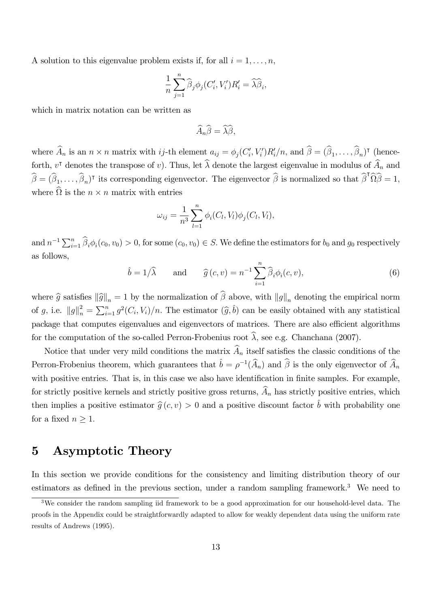A solution to this eigenvalue problem exists if, for all  $i = 1, \ldots, n$ ,

$$
\frac{1}{n}\sum_{j=1}^{n}\widehat{\beta}_{j}\phi_{j}(C'_{i},V'_{i})R'_{i}=\widehat{\lambda}\widehat{\beta}_{i},
$$

which in matrix notation can be written as

$$
\widehat{A}_n \widehat{\beta} = \widehat{\lambda} \widehat{\beta},
$$

where  $A_n$  is an  $n \times n$  matrix with ij-th element  $a_{ij} = \phi_j(C'_i, V'_i)R'_i/n$ , and  $\beta = (\beta_1, \ldots, \beta_n)$ <sup>T</sup> (henceforth,  $v^{\dagger}$  denotes the transpose of v). Thus, let  $\lambda$  denote the largest eigenvalue in modulus of  $A_n$  and  $\widehat{\beta} = (\widehat{\beta}_1,\ldots,\widehat{\beta}_n)$ <sup>T</sup> its corresponding eigenvector. The eigenvector  $\widehat{\beta}$  is normalized so that  $\widehat{\beta}^T \widehat{\Omega} \widehat{\beta} = 1$ , where  $\Omega$  is the  $n \times n$  matrix with entries

$$
\omega_{ij} = \frac{1}{n^3} \sum_{l=1}^n \phi_i(C_l, V_l) \phi_j(C_l, V_l),
$$

and  $n^{-1}\sum_{i=1}^n \widehat{\beta}_i \phi_i(c_0, v_0) > 0$ , for some  $(c_0, v_0) \in S$ . We define the estimators for  $b_0$  and  $g_0$  respectively as follows,

$$
\hat{b} = 1/\hat{\lambda}
$$
 and  $\hat{g}(c, v) = n^{-1} \sum_{i=1}^{n} \hat{\beta}_i \phi_i(c, v),$ \n(6)

where  $\hat{g}$  satisfies  $\|\hat{g}\|_{n} = 1$  by the normalization of  $\beta$  above, with  $\|g\|_{n}$  denoting the empirical norm of g, i.e.  $||g||_n^2 = \sum_{i=1}^n g^2(C_i, V_i)/n$ . The estimator  $(\widehat{g}, \widehat{b})$  can be easily obtained with any statistical package that computes eigenvalues and eigenvectors of matrices. There are also efficient algorithms for the computation of the so-called Perron-Frobenius root  $\hat{\lambda}$ , see e.g. Chanchana (2007).

Notice that under very mild conditions the matrix  $\widehat{A}_n$  itself satisfies the classic conditions of the Perron-Frobenius theorem, which guarantees that  $\hat{b} = \rho^{-1}(\widehat{A}_n)$  and  $\widehat{\beta}$  is the only eigenvector of  $\widehat{A}_n$ with positive entries. That is, in this case we also have identification in finite samples. For example, for strictly positive kernels and strictly positive gross returns,  $\widehat{A}_n$  has strictly positive entries, which then implies a positive estimator  $\hat{g}(c, v) > 0$  and a positive discount factor  $\hat{b}$  with probability one for a fixed  $n \geq 1$ .

## 5 Asymptotic Theory

In this section we provide conditions for the consistency and limiting distribution theory of our estimators as defined in the previous section, under a random sampling framework.<sup>3</sup> We need to

<sup>&</sup>lt;sup>3</sup>We consider the random sampling iid framework to be a good approximation for our household-level data. The proofs in the Appendix could be straightforwardly adapted to allow for weakly dependent data using the uniform rate results of Andrews (1995).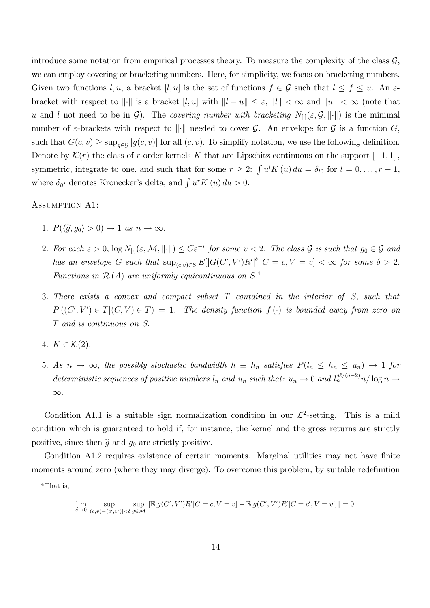introduce some notation from empirical processes theory. To measure the complexity of the class  $\mathcal{G}$ , we can employ covering or bracketing numbers. Here, for simplicity, we focus on bracketing numbers. Given two functions l, u, a bracket [l, u] is the set of functions  $f \in \mathcal{G}$  such that  $l \le f \le u$ . An  $\varepsilon$ bracket with respect to  $\|\cdot\|$  is a bracket  $[l, u]$  with  $\|l - u\| \leq \varepsilon$ ,  $\|l\| < \infty$  and  $\|u\| < \infty$  (note that u and l not need to be in  $\mathcal{G}$ ). The covering number with bracketing  $N_{[\cdot]}(\varepsilon, \mathcal{G}, \|\cdot\|)$  is the minimal number of  $\varepsilon$ -brackets with respect to  $\|\cdot\|$  needed to cover  $\mathcal G$ . An envelope for  $\mathcal G$  is a function  $G$ , such that  $G(c, v) \ge \sup_{g \in \mathcal{G}} |g(c, v)|$  for all  $(c, v)$ . To simplify notation, we use the following definition. Denote by  $\mathcal{K}(r)$  the class of r-order kernels K that are Lipschitz continuous on the support  $[-1, 1]$ , symmetric, integrate to one, and such that for some  $r \geq 2$ :  $\int u^l K(u) du = \delta_{l0}$  for  $l = 0, \ldots, r - 1$ , where  $\delta_{ll'}$  denotes Kronecker's delta, and  $\int u^r K(u) du > 0$ .

#### Assumption A1:

- 1.  $P(\langle \hat{q}, q_0 \rangle > 0) \rightarrow 1$  as  $n \rightarrow \infty$ .
- 2. For each  $\varepsilon > 0$ ,  $\log N_{[.]}(\varepsilon, \mathcal{M}, ||\cdot||) \leq C\varepsilon^{-v}$  for some  $v < 2$ . The class  $\mathcal G$  is such that  $g_0 \in \mathcal G$  and has an envelope G such that  $\sup_{(c,v)\in S} E[|G(C', V')R'|^{\delta} | C = c, V = v] < \infty$  for some  $\delta > 2$ . Functions in  $\mathcal{R}(A)$  are uniformly equicontinuous on  $S^4$ .
- 3. There exists a convex and compact subset  $T$  contained in the interior of  $S$ , such that  $P((C', V') \in T | (C, V) \in T) = 1$ . The density function  $f(\cdot)$  is bounded away from zero on T and is continuous on S:
- 4.  $K \in \mathcal{K}(2)$ .
- 5. As  $n \to \infty$ , the possibly stochastic bandwidth  $h \equiv h_n$  satisfies  $P(l_n \le h_n \le u_n) \to 1$  for deterministic sequences of positive numbers  $l_n$  and  $u_n$  such that:  $u_n \to 0$  and  $l_n^{\delta\ell/(\delta-2)}n/\log n \to$  $\infty$ .

Condition A1.1 is a suitable sign normalization condition in our  $\mathcal{L}^2$ This is a mild condition which is guaranteed to hold if, for instance, the kernel and the gross returns are strictly positive, since then  $\hat{g}$  and  $g_0$  are strictly positive.

Condition A1.2 requires existence of certain moments. Marginal utilities may not have finite moments around zero (where they may diverge). To overcome this problem, by suitable redefinition

$$
\lim_{\delta \to 0} \sup_{|(c,v)-(c',v')| < \delta} \sup_{g \in \mathcal{M}} ||\mathbb{E}[g(C',V')R'|C=c,V=v] - \mathbb{E}[g(C',V')R'|C=c',V=v']|| = 0.
$$

<sup>&</sup>lt;sup>4</sup>That is,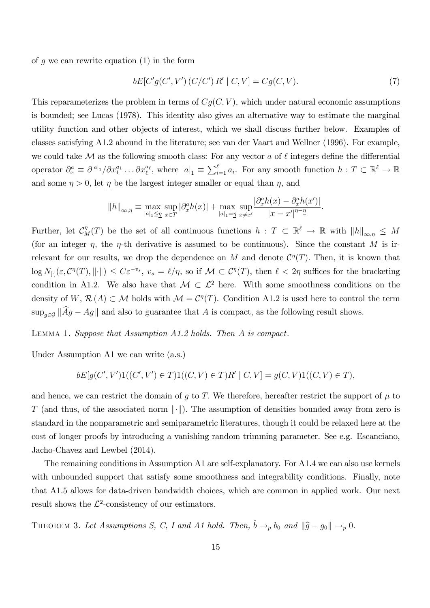of q we can rewrite equation  $(1)$  in the form

$$
bE[C'g(C',V')(C/C') R' | C,V] = Cg(C,V).
$$
\n(7)

This reparameterizes the problem in terms of  $Cg(C, V)$ , which under natural economic assumptions is bounded; see Lucas (1978). This identity also gives an alternative way to estimate the marginal utility function and other objects of interest, which we shall discuss further below. Examples of classes satisfying A1.2 abound in the literature; see van der Vaart and Wellner (1996). For example, we could take M as the following smooth class: For any vector a of  $\ell$  integers define the differential operator  $\partial_x^a \equiv \partial^{|a|_1}/\partial x_1^{a_1} \dots \partial x_\ell^{a_\ell}$ , where  $|a|_1 \equiv \sum_{i=1}^\ell a_i$ . For any smooth function  $h : T \subset \mathbb{R}^\ell \to \mathbb{R}$ and some  $\eta > 0$ , let  $\eta$  be the largest integer smaller or equal than  $\eta$ , and

$$
||h||_{\infty,\eta} \equiv \max_{|a|_1 \leq \underline{\eta}} \sup_{x \in T} |\partial_x^a h(x)| + \max_{|a|_1 = \underline{\eta}} \sup_{x \neq x'} \frac{|\partial_x^a h(x) - \partial_x^a h(x')|}{|x - x'|^{\eta - \underline{\eta}}}.
$$

Further, let  $\mathcal{C}_M^{\eta}(T)$  be the set of all continuous functions  $h : T \subset \mathbb{R}^{\ell} \to \mathbb{R}$  with  $||h||_{\infty,\eta} \leq M$ (for an integer  $\eta$ , the  $\eta$ -th derivative is assumed to be continuous). Since the constant M is irrelevant for our results, we drop the dependence on M and denote  $\mathcal{C}^{\eta}(T)$ . Then, it is known that  $\log N_{[\cdot]}(\varepsilon, \mathcal{C}^{\eta}(T), \|\cdot\|) \leq C\varepsilon^{-v_s}, \ v_s = \ell/\eta, \text{ so if } \mathcal{M} \subset \mathcal{C}^{\eta}(T), \text{ then } \ell < 2\eta \text{ suffices for the bracketing}$ condition in A1.2. We also have that  $\mathcal{M} \subset \mathcal{L}^2$  here. With some smoothness conditions on the density of  $W, \mathcal{R}(A) \subset \mathcal{M}$  holds with  $\mathcal{M} = \mathcal{C}^{\eta}(T)$ . Condition A1.2 is used here to control the term  $\sup_{q\in\mathcal{G}}||\widehat{A}g - Ag||$  and also to guarantee that A is compact, as the following result shows.

LEMMA 1. Suppose that Assumption  $A1.2$  holds. Then A is compact.

Under Assumption A1 we can write (a.s.)

$$
bE[g(C', V')1((C', V') \in T)1((C, V) \in T)R' | C, V] = g(C, V)1((C, V) \in T),
$$

and hence, we can restrict the domain of g to T. We therefore, hereafter restrict the support of  $\mu$  to T (and thus, of the associated norm  $\|\cdot\|$ ). The assumption of densities bounded away from zero is standard in the nonparametric and semiparametric literatures, though it could be relaxed here at the cost of longer proofs by introducing a vanishing random trimming parameter. See e.g. Escanciano, Jacho-Chavez and Lewbel (2014).

The remaining conditions in Assumption A1 are self-explanatory. For A1.4 we can also use kernels with unbounded support that satisfy some smoothness and integrability conditions. Finally, note that A1.5 allows for data-driven bandwidth choices, which are common in applied work. Our next result shows the  $\mathcal{L}^2$ -consistency of our estimators.

THEOREM 3. Let Assumptions S, C, I and A1 hold. Then,  $\hat{b} \rightarrow_{p} b_0$  and  $\|\hat{g} - g_0\| \rightarrow_{p} 0$ .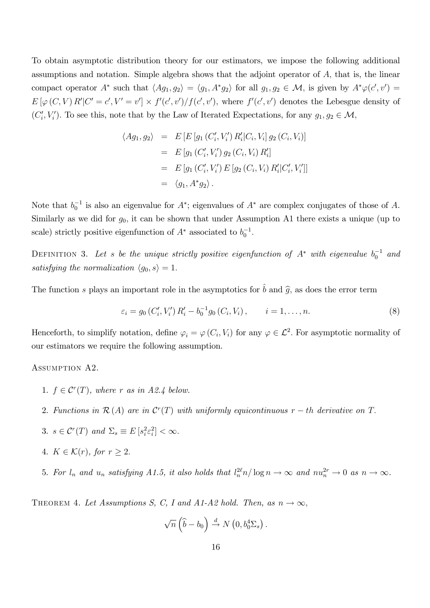To obtain asymptotic distribution theory for our estimators, we impose the following additional assumptions and notation. Simple algebra shows that the adjoint operator of A; that is, the linear compact operator  $A^*$  such that  $\langle Ag_1, g_2 \rangle = \langle g_1, A^* g_2 \rangle$  for all  $g_1, g_2 \in \mathcal{M}$ , is given by  $A^* \varphi(c', v') =$  $E[\varphi(C, V) R']C' = c', V' = v'] \times f'(c', v')/f(c', v'),$  where  $f'(c', v')$  denotes the Lebesgue density of  $(C_i', V_i')$ . To see this, note that by the Law of Iterated Expectations, for any  $g_1, g_2 \in \mathcal{M}$ ,

$$
\langle Ag_1, g_2 \rangle = E \left[ E \left[ g_1 \left( C_i', V_i' \right) R_i' | C_i, V_i \right] g_2 \left( C_i, V_i \right) \right]
$$
  
\n
$$
= E \left[ g_1 \left( C_i', V_i' \right) g_2 \left( C_i, V_i \right) R_i' \right]
$$
  
\n
$$
= E \left[ g_1 \left( C_i', V_i' \right) E \left[ g_2 \left( C_i, V_i \right) R_i' | C_i', V_i' \right] \right]
$$
  
\n
$$
= \langle g_1, A^* g_2 \rangle.
$$

Note that  $b_0^{-1}$  is also an eigenvalue for  $A^*$ ; eigenvalues of  $A^*$  are complex conjugates of those of A. Similarly as we did for  $g_0$ , it can be shown that under Assumption A1 there exists a unique (up to scale) strictly positive eigenfunction of  $A^*$  associated to  $b_0^{-1}$ .

DEFINITION 3. Let s be the unique strictly positive eigenfunction of  $A^*$  with eigenvalue  $b_0^{-1}$  and satisfying the normalization  $\langle g_0, s \rangle = 1$ .

The function s plays an important role in the asymptotics for  $\hat{b}$  and  $\hat{q}$ , as does the error term

$$
\varepsilon_i = g_0 \left( C_i', V_i' \right) R_i' - b_0^{-1} g_0 \left( C_i, V_i \right), \qquad i = 1, \dots, n. \tag{8}
$$

Henceforth, to simplify notation, define  $\varphi_i = \varphi(C_i, V_i)$  for any  $\varphi \in \mathcal{L}^2$ . For asymptotic normality of our estimators we require the following assumption.

#### Assumption A2.

- 1.  $f \in \mathcal{C}^r(T)$ , where r as in A2.4 below.
- 2. Functions in  $\mathcal{R}(A)$  are in  $\mathcal{C}^r(T)$  with uniformly equicontinuous  $r-th$  derivative on T.
- 3.  $s \in \mathcal{C}^r(T)$  and  $\Sigma_s \equiv E[s_i^2 \varepsilon_i^2] < \infty$ .
- 4.  $K \in \mathcal{K}(r)$ , for  $r \geq 2$ .
- 5. For  $l_n$  and  $u_n$  satisfying A1.5, it also holds that  $l_n^{2\ell} n / \log n \to \infty$  and  $nu_n^{2r} \to 0$  as  $n \to \infty$ .

THEOREM 4. Let Assumptions S, C, I and A1-A2 hold. Then, as  $n \to \infty$ ,

$$
\sqrt{n}\left(\widehat{b}-b_0\right) \stackrel{d}{\rightarrow} N\left(0,b_0^4\Sigma_s\right).
$$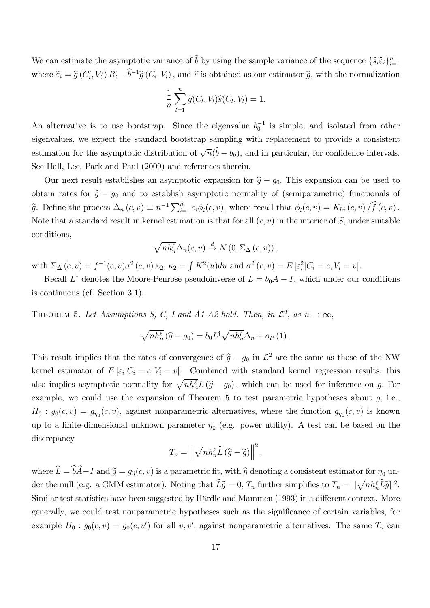We can estimate the asymptotic variance of b by using the sample variance of the sequence  $\{\widehat{s}_i\widehat{\epsilon}_i\}_{i=1}^n$ where  $\widehat{\varepsilon}_i = \widehat{g}(C'_i, V'_i) R'_i - b^{-1}\widehat{g}(C_i, V_i)$ , and  $\widehat{s}$  is obtained as our estimator  $\widehat{g}$ , with the normalization

$$
\frac{1}{n}\sum_{l=1}^n \widehat{g}(C_l,V_l)\widehat{s}(C_l,V_l)=1.
$$

An alternative is to use bootstrap. Since the eigenvalue  $b_0^{-1}$  is simple, and isolated from other eigenvalues, we expect the standard bootstrap sampling with replacement to provide a consistent estimation for the asymptotic distribution of  $\sqrt{n}(\hat{b} - b_0)$ , and in particular, for confidence intervals. See Hall, Lee, Park and Paul (2009) and references therein.

Our next result establishes an asymptotic expansion for  $\hat{g} - g_0$ . This expansion can be used to obtain rates for  $\hat{g} - g_0$  and to establish asymptotic normality of (semiparametric) functionals of  $\widehat{g}$ . Define the process  $\Delta_n(c, v) \equiv n^{-1} \sum_{i=1}^n \varepsilon_i \phi_i(c, v)$ , where recall that  $\phi_i(c, v) = K_{hi}(c, v) / \widehat{f}(c, v)$ . Note that a standard result in kernel estimation is that for all  $(c, v)$  in the interior of S, under suitable conditions,

$$
\sqrt{nh_n^{\ell}}\Delta_n(c,v) \stackrel{d}{\rightarrow} N(0,\Sigma_{\Delta}(c,v)),
$$

with  $\Sigma_{\Delta}(c, v) = f^{-1}(c, v)\sigma^2(c, v) \kappa_2, \kappa_2 = \int K^2(u)du$  and  $\sigma^2(c, v) = E[\varepsilon_i^2|C_i = c, V_i = v].$ 

Recall  $L^{\dagger}$  denotes the Moore-Penrose pseudoinverse of  $L = b_0 A - I$ , which under our conditions is continuous (cf. Section 3.1).

THEOREM 5. Let Assumptions S, C, I and A1-A2 hold. Then, in  $\mathcal{L}^2$ , as  $n \to \infty$ ,

$$
\sqrt{nh_n^{\ell}}(\widehat{g} - g_0) = b_0 L^{\dagger} \sqrt{nh_n^{\ell}} \Delta_n + o_P(1).
$$

This result implies that the rates of convergence of  $\hat{g} - g_0$  in  $\mathcal{L}^2$  are the same as those of the NW kernel estimator of  $E\left[\varepsilon_i|C_i=c,V_i=v\right]$ . Combined with standard kernel regression results, this also implies asymptotic normality for  $\sqrt{nh_n^{\ell}}L(\hat{g}-g_0)$ , which can be used for inference on g. For example, we could use the expansion of Theorem 5 to test parametric hypotheses about  $g$ , i.e.,  $H_0: g_0(c, v) = g_{\eta_0}(c, v)$ , against nonparametric alternatives, where the function  $g_{\eta_0}(c, v)$  is known up to a finite-dimensional unknown parameter  $\eta_0$  (e.g. power utility). A test can be based on the discrepancy

$$
T_n = \left\| \sqrt{n h_n^{\ell}} \widehat{L} \left( \widehat{g} - \widetilde{g} \right) \right\|^2,
$$

where  $\hat{L} = \hat{b}\hat{A} - I$  and  $\tilde{g} = g_{\hat{n}}(c, v)$  is a parametric fit, with  $\hat{\eta}$  denoting a consistent estimator for  $\eta_0$  under the null (e.g. a GMM estimator). Noting that  $\widehat{L}\widehat{g} = 0$ ,  $T_n$  further simplifies to  $T_n = ||\sqrt{n h_n^{\ell}} \widehat{L}\widetilde{g}||^2$ . Similar test statistics have been suggested by Härdle and Mammen (1993) in a different context. More generally, we could test nonparametric hypotheses such as the significance of certain variables, for example  $H_0: g_0(c, v) = g_0(c, v')$  for all v, v', against nonparametric alternatives. The same  $T_n$  can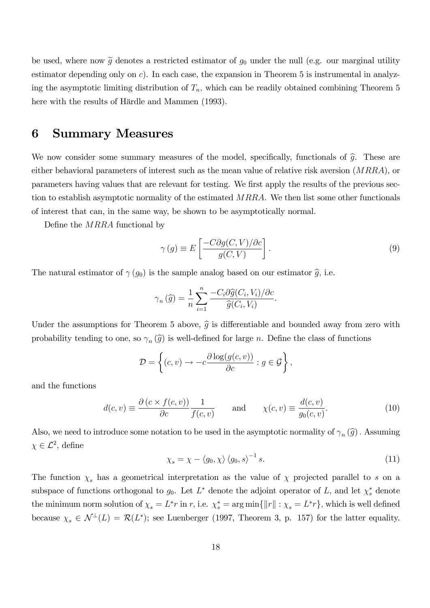be used, where now  $\tilde{g}$  denotes a restricted estimator of  $g_0$  under the null (e.g. our marginal utility estimator depending only on  $c$ ). In each case, the expansion in Theorem 5 is instrumental in analyzing the asymptotic limiting distribution of  $T_n$ , which can be readily obtained combining Theorem 5 here with the results of Härdle and Mammen (1993).

## 6 Summary Measures

We now consider some summary measures of the model, specifically, functionals of  $\hat{q}$ . These are either behavioral parameters of interest such as the mean value of relative risk aversion  $(MRRA)$ , or parameters having values that are relevant for testing. We first apply the results of the previous section to establish asymptotic normality of the estimated MRRA. We then list some other functionals of interest that can, in the same way, be shown to be asymptotically normal.

Define the MRRA functional by

$$
\gamma(g) \equiv E \left[ \frac{-C \partial g(C, V) / \partial c}{g(C, V)} \right]. \tag{9}
$$

The natural estimator of  $\gamma(g_0)$  is the sample analog based on our estimator  $\hat{g}$ , i.e.

$$
\gamma_n(\widehat{g}) = \frac{1}{n} \sum_{i=1}^n \frac{-C_i \partial \widehat{g}(C_i, V_i)/\partial c}{\widehat{g}(C_i, V_i)}.
$$

Under the assumptions for Theorem 5 above,  $\hat{g}$  is differentiable and bounded away from zero with probability tending to one, so  $\gamma_n(\hat{g})$  is well-defined for large *n*. Define the class of functions

$$
\mathcal{D} = \left\{ (c, v) \rightarrow -c \frac{\partial \log(g(c, v))}{\partial c} : g \in \mathcal{G} \right\},\
$$

and the functions

$$
d(c,v) \equiv \frac{\partial (c \times f(c,v))}{\partial c} \frac{1}{f(c,v)} \quad \text{and} \quad \chi(c,v) \equiv \frac{d(c,v)}{g_0(c,v)}.
$$
 (10)

Also, we need to introduce some notation to be used in the asymptotic normality of  $\gamma_n(\widehat{g})$ . Assuming  $\chi \in \mathcal{L}^2$ , define

$$
\chi_s = \chi - \langle g_0, \chi \rangle \langle g_0, s \rangle^{-1} s. \tag{11}
$$

The function  $\chi_s$  has a geometrical interpretation as the value of  $\chi$  projected parallel to s on a subspace of functions orthogonal to  $g_0$ . Let  $L^*$  denote the adjoint operator of L, and let  $\chi_s^*$  denote the minimum norm solution of  $\chi_s = L^*r$  in r, i.e.  $\chi_s^* = \arg \min \{ ||r|| : \chi_s = L^*r \}$ , which is well defined because  $\chi_s \in \mathcal{N}^{\perp}(L) = \mathcal{R}(L^*);$  see Luenberger (1997, Theorem 3, p. 157) for the latter equality.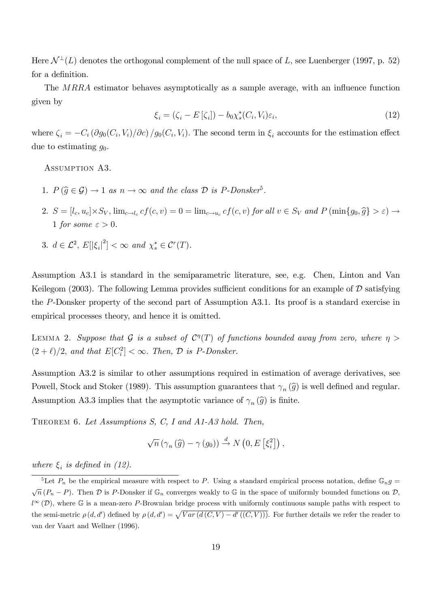Here  $\mathcal{N}^{\perp}(L)$  denotes the orthogonal complement of the null space of L, see Luenberger (1997, p. 52) for a definition.

The  $MRRA$  estimator behaves asymptotically as a sample average, with an influence function given by

$$
\xi_i = (\zeta_i - E[\zeta_i]) - b_0 \chi_s^*(C_i, V_i) \varepsilon_i,\tag{12}
$$

where  $\zeta_i = -C_i (\partial g_0(C_i, V_i)/\partial c) / g_0(C_i, V_i)$ . The second term in  $\xi_i$  accounts for the estimation effect due to estimating  $q_0$ .

Assumption A3.

- 1.  $P(\widehat{g} \in \mathcal{G}) \to 1$  as  $n \to \infty$  and the class  $\mathcal{D}$  is P-Donsker<sup>5</sup>.
- 2.  $S = [l_c, u_c] \times S_V$ ,  $\lim_{c \to l_c} cf(c, v) = 0 = \lim_{c \to u_c} cf(c, v)$  for all  $v \in S_V$  and  $P(\min\{g_0, \widehat{g}\} > \varepsilon) \to$ 1 for some  $\varepsilon > 0$ .
- 3.  $d \in \mathcal{L}^2$ ,  $E[|\xi_i|^2] < \infty$  and  $\chi_s^* \in \mathcal{C}^r(T)$ .

Assumption A3.1 is standard in the semiparametric literature, see, e.g. Chen, Linton and Van Keilegom (2003). The following Lemma provides sufficient conditions for an example of  $\mathcal D$  satisfying the P-Donsker property of the second part of Assumption A3.1. Its proof is a standard exercise in empirical processes theory, and hence it is omitted.

LEMMA 2. Suppose that  $\mathcal G$  is a subset of  $\mathcal C^\eta(T)$  of functions bounded away from zero, where  $\eta >$  $(2 + \ell)/2$ , and that  $E[C_i^2] < \infty$ . Then,  $\mathcal D$  is P-Donsker.

Assumption A3.2 is similar to other assumptions required in estimation of average derivatives, see Powell, Stock and Stoker (1989). This assumption guarantees that  $\gamma_n(\widehat{g})$  is well defined and regular. Assumption A3.3 implies that the asymptotic variance of  $\gamma_n(\hat{g})$  is finite.

THEOREM 6. Let Assumptions S, C, I and A1-A3 hold. Then,

$$
\sqrt{n} \left( \gamma_n \left( \widehat{g} \right) - \gamma \left( g_0 \right) \right) \stackrel{d}{\rightarrow} N \left( 0, E \left[ \xi_i^2 \right] \right),
$$

where  $\xi_i$  is defined in (12).

<sup>&</sup>lt;sup>5</sup>Let  $P_n$  be the empirical measure with respect to P. Using a standard empirical process notation, define  $\mathbb{G}_n g$  =  $\sqrt{n} (P_n - P)$ . Then  $\mathcal D$  is P-Donsker if  $\mathbb G_n$  converges weakly to  $\mathbb G$  in the space of uniformly bounded functions on  $\mathcal D$ ,  $l^{\infty}(\mathcal{D})$ , where G is a mean-zero P-Brownian bridge process with uniformly continuous sample paths with respect to the semi-metric  $\rho(d, d')$  defined by  $\rho(d, d') = \sqrt{Var(d(C, V) - d'((C, V)))}$ . For further details we refer the reader to van der Vaart and Wellner (1996).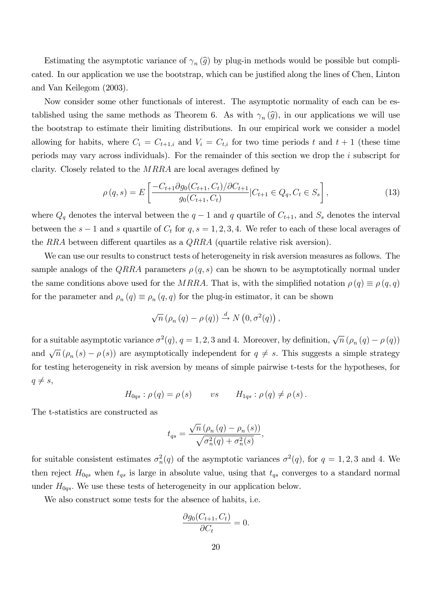Estimating the asymptotic variance of  $\gamma_n(\hat{g})$  by plug-in methods would be possible but complicated. In our application we use the bootstrap, which can be justified along the lines of Chen, Linton and Van Keilegom (2003).

Now consider some other functionals of interest. The asymptotic normality of each can be established using the same methods as Theorem 6. As with  $\gamma_n(\hat{g})$ , in our applications we will use the bootstrap to estimate their limiting distributions. In our empirical work we consider a model allowing for habits, where  $C_i = C_{t+1,i}$  and  $V_i = C_{t,i}$  for two time periods t and  $t+1$  (these time periods may vary across individuals). For the remainder of this section we drop the i subscript for clarity. Closely related to the  $MRRA$  are local averages defined by

$$
\rho(q,s) = E\left[\frac{-C_{t+1}\partial g_0(C_{t+1}, C_t)/\partial C_{t+1}}{g_0(C_{t+1}, C_t)}|C_{t+1} \in Q_q, C_t \in S_s\right],\tag{13}
$$

where  $Q_q$  denotes the interval between the  $q-1$  and q quartile of  $C_{t+1}$ , and  $S_s$  denotes the interval between the  $s - 1$  and s quartile of  $C_t$  for  $q, s = 1, 2, 3, 4$ . We refer to each of these local averages of the RRA between different quartiles as a  $QRRA$  (quartile relative risk aversion).

We can use our results to construct tests of heterogeneity in risk aversion measures as follows. The sample analogs of the QRRA parameters  $\rho(q, s)$  can be shown to be asymptotically normal under the same conditions above used for the MRRA. That is, with the simplified notation  $\rho(q) \equiv \rho(q,q)$ for the parameter and  $\rho_n(q) \equiv \rho_n(q,q)$  for the plug-in estimator, it can be shown

$$
\sqrt{n} \left( \rho_n \left( q \right) - \rho \left( q \right) \right) \stackrel{d}{\rightarrow} N \left( 0, \sigma^2(q) \right),
$$

for a suitable asymptotic variance  $\sigma^2(q)$ ,  $q = 1, 2, 3$  and 4. Moreover, by definition,  $\sqrt{n} (\rho_n(q) - \rho(q))$ and  $\sqrt{n} (\rho_n (s) - \rho (s))$  are asymptotically independent for  $q \neq s$ . This suggests a simple strategy for testing heterogeneity in risk aversion by means of simple pairwise t-tests for the hypotheses, for  $q \neq s$ ,

$$
H_{0qs} : \rho(q) = \rho(s) \qquad vs \qquad H_{1qs} : \rho(q) \neq \rho(s).
$$

The t-statistics are constructed as

$$
t_{qs} = \frac{\sqrt{n} \left( \rho_n \left( q \right) - \rho_n \left( s \right) \right)}{\sqrt{\sigma_n^2(q) + \sigma_n^2(s)}},
$$

for suitable consistent estimates  $\sigma_n^2(q)$  of the asymptotic variances  $\sigma^2(q)$ , for  $q = 1, 2, 3$  and 4. We then reject  $H_{0qs}$  when  $t_{qs}$  is large in absolute value, using that  $t_{qs}$  converges to a standard normal under  $H_{0qs}$ . We use these tests of heterogeneity in our application below.

We also construct some tests for the absence of habits, i.e.

$$
\frac{\partial g_0(C_{t+1}, C_t)}{\partial C_t} = 0.
$$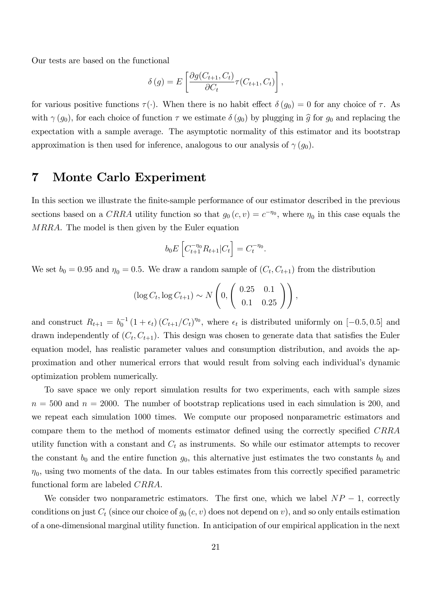Our tests are based on the functional

$$
\delta(g) = E\left[\frac{\partial g(C_{t+1}, C_t)}{\partial C_t} \tau(C_{t+1}, C_t)\right],
$$

for various positive functions  $\tau(\cdot)$ . When there is no habit effect  $\delta(g_0) = 0$  for any choice of  $\tau$ . As with  $\gamma(g_0)$ , for each choice of function  $\tau$  we estimate  $\delta(g_0)$  by plugging in  $\hat{g}$  for  $g_0$  and replacing the expectation with a sample average. The asymptotic normality of this estimator and its bootstrap approximation is then used for inference, analogous to our analysis of  $\gamma(g_0)$ .

## 7 Monte Carlo Experiment

In this section we illustrate the finite-sample performance of our estimator described in the previous sections based on a CRRA utility function so that  $g_0(c, v) = c^{-\eta_0}$ , where  $\eta_0$  in this case equals the MRRA. The model is then given by the Euler equation

$$
b_0 E\left[C_{t+1}^{-\eta_0} R_{t+1} | C_t\right] = C_t^{-\eta_0}.
$$

We set  $b_0 = 0.95$  and  $\eta_0 = 0.5$ . We draw a random sample of  $(C_t, C_{t+1})$  from the distribution

$$
(\log C_t, \log C_{t+1}) \sim N\left(0, \begin{pmatrix} 0.25 & 0.1 \\ 0.1 & 0.25 \end{pmatrix}\right),
$$

and construct  $R_{t+1} = b_0^{-1} (1 + \epsilon_t) (C_{t+1}/C_t)^{\eta_0}$ , where  $\epsilon_t$  is distributed uniformly on  $[-0.5, 0.5]$  and drawn independently of  $(C_t, C_{t+1})$ . This design was chosen to generate data that satisfies the Euler equation model, has realistic parameter values and consumption distribution, and avoids the approximation and other numerical errors that would result from solving each individual's dynamic optimization problem numerically.

To save space we only report simulation results for two experiments, each with sample sizes  $n = 500$  and  $n = 2000$ . The number of bootstrap replications used in each simulation is 200, and we repeat each simulation 1000 times. We compute our proposed nonparametric estimators and compare them to the method of moments estimator defined using the correctly specified CRRA utility function with a constant and  $C_t$  as instruments. So while our estimator attempts to recover the constant  $b_0$  and the entire function  $g_0$ , this alternative just estimates the two constants  $b_0$  and  $\eta_0$ , using two moments of the data. In our tables estimates from this correctly specified parametric functional form are labeled CRRA.

We consider two nonparametric estimators. The first one, which we label  $NP - 1$ , correctly conditions on just  $C_t$  (since our choice of  $g_0(c, v)$  does not depend on v), and so only entails estimation of a one-dimensional marginal utility function. In anticipation of our empirical application in the next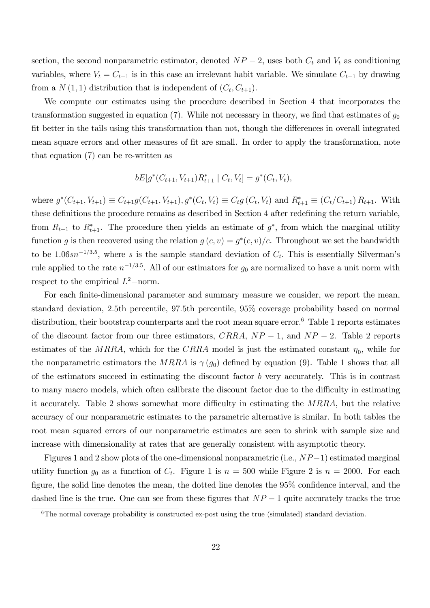section, the second nonparametric estimator, denoted  $NP-2$ , uses both  $C_t$  and  $V_t$  as conditioning variables, where  $V_t = C_{t-1}$  is in this case an irrelevant habit variable. We simulate  $C_{t-1}$  by drawing from a  $N(1, 1)$  distribution that is independent of  $(C_t, C_{t+1})$ .

We compute our estimates using the procedure described in Section 4 that incorporates the transformation suggested in equation  $(7)$ . While not necessary in theory, we find that estimates of  $g_0$ fit better in the tails using this transformation than not, though the differences in overall integrated mean square errors and other measures of fit are small. In order to apply the transformation, note that equation (7) can be re-written as

$$
bE[g^*(C_{t+1}, V_{t+1})R_{t+1}^* | C_t, V_t] = g^*(C_t, V_t),
$$

where  $g^*(C_{t+1}, V_{t+1}) \equiv C_{t+1}g(C_{t+1}, V_{t+1}), g^*(C_t, V_t) \equiv C_t g(C_t, V_t)$  and  $R_{t+1}^* \equiv (C_t/C_{t+1}) R_{t+1}.$  With these definitions the procedure remains as described in Section 4 after redefining the return variable, from  $R_{t+1}$  to  $R_{t+1}^*$ . The procedure then yields an estimate of  $g^*$ , from which the marginal utility function g is then recovered using the relation  $g(c, v) = g^*(c, v)/c$ . Throughout we set the bandwidth to be 1.06 $sn^{-1/3.5}$ , where s is the sample standard deviation of  $C_t$ . This is essentially Silverman's rule applied to the rate  $n^{-1/3.5}$ . All of our estimators for  $g_0$  are normalized to have a unit norm with respect to the empirical  $L^2$ -norm.

For each finite-dimensional parameter and summary measure we consider, we report the mean, standard deviation, 2:5th percentile, 97:5th percentile, 95% coverage probability based on normal distribution, their bootstrap counterparts and the root mean square error.<sup>6</sup> Table 1 reports estimates of the discount factor from our three estimators,  $CRRA$ ,  $NP - 1$ , and  $NP - 2$ . Table 2 reports estimates of the MRRA, which for the CRRA model is just the estimated constant  $\eta_0$ , while for the nonparametric estimators the MRRA is  $\gamma(g_0)$  defined by equation (9). Table 1 shows that all of the estimators succeed in estimating the discount factor  $b$  very accurately. This is in contrast to many macro models, which often calibrate the discount factor due to the difficulty in estimating it accurately. Table 2 shows somewhat more difficulty in estimating the  $MRRA$ , but the relative accuracy of our nonparametric estimates to the parametric alternative is similar. In both tables the root mean squared errors of our nonparametric estimates are seen to shrink with sample size and increase with dimensionality at rates that are generally consistent with asymptotic theory.

Figures 1 and 2 show plots of the one-dimensional nonparametric (i.e.,  $NP-1$ ) estimated marginal utility function  $g_0$  as a function of  $C_t$ . Figure 1 is  $n = 500$  while Figure 2 is  $n = 2000$ . For each figure, the solid line denotes the mean, the dotted line denotes the  $95\%$  confidence interval, and the dashed line is the true. One can see from these figures that  $NP-1$  quite accurately tracks the true

 $\overline{6}$ The normal coverage probability is constructed ex-post using the true (simulated) standard deviation.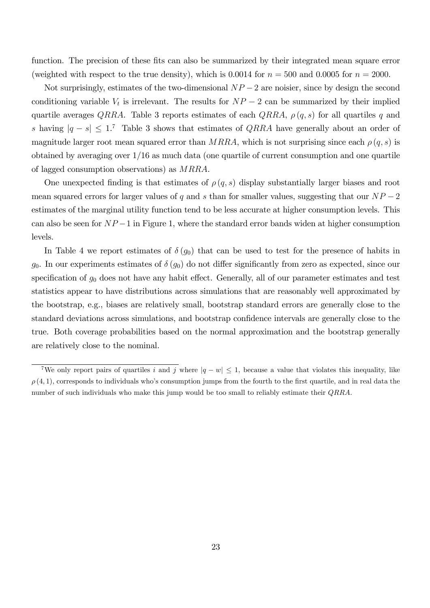function. The precision of these fits can also be summarized by their integrated mean square error (weighted with respect to the true density), which is 0.0014 for  $n = 500$  and 0.0005 for  $n = 2000$ .

Not surprisingly, estimates of the two-dimensional  $NP-2$  are noisier, since by design the second conditioning variable  $V_t$  is irrelevant. The results for  $NP-2$  can be summarized by their implied quartile averages QRRA. Table 3 reports estimates of each QRRA,  $\rho(q, s)$  for all quartiles q and s having  $|q - s| \leq 1$ .<sup>7</sup> Table 3 shows that estimates of *QRRA* have generally about an order of magnitude larger root mean squared error than MRRA, which is not surprising since each  $\rho(q, s)$  is obtained by averaging over 1/16 as much data (one quartile of current consumption and one quartile of lagged consumption observations) as MRRA.

One unexpected finding is that estimates of  $\rho(q, s)$  display substantially larger biases and root mean squared errors for larger values of q and s than for smaller values, suggesting that our  $NP-2$ estimates of the marginal utility function tend to be less accurate at higher consumption levels. This can also be seen for  $NP-1$  in Figure 1, where the standard error bands widen at higher consumption levels.

In Table 4 we report estimates of  $\delta(g_0)$  that can be used to test for the presence of habits in  $g_0$ . In our experiments estimates of  $\delta(g_0)$  do not differ significantly from zero as expected, since our specification of  $g_0$  does not have any habit effect. Generally, all of our parameter estimates and test statistics appear to have distributions across simulations that are reasonably well approximated by the bootstrap, e.g., biases are relatively small, bootstrap standard errors are generally close to the standard deviations across simulations, and bootstrap confidence intervals are generally close to the true. Both coverage probabilities based on the normal approximation and the bootstrap generally are relatively close to the nominal.

<sup>&</sup>lt;sup>7</sup>We only report pairs of quartiles i and j where  $|q - w| \leq 1$ , because a value that violates this inequality, like  $\rho(4,1)$ , corresponds to individuals who's consumption jumps from the fourth to the first quartile, and in real data the number of such individuals who make this jump would be too small to reliably estimate their *QRRA*.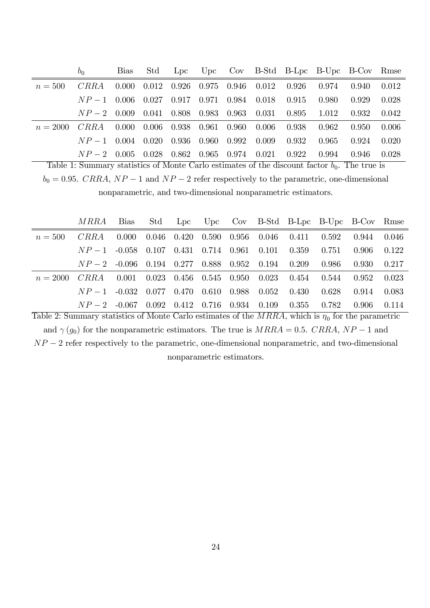|            | $b_0$                                      | <b>Bias</b> | Std |  |                                         |                                 |                                                         | Lpc Upc Cov B-Std B-Lpc B-Upc B-Cov Rmse                        |       |       |
|------------|--------------------------------------------|-------------|-----|--|-----------------------------------------|---------------------------------|---------------------------------------------------------|-----------------------------------------------------------------|-------|-------|
| $n = 500$  | CRRA                                       |             |     |  |                                         |                                 |                                                         | $0.000$ $0.012$ $0.926$ $0.975$ $0.946$ $0.012$ $0.926$ $0.974$ | 0.940 | 0.012 |
|            | $NP = 1$ 0.006                             |             |     |  |                                         | $0.027$ 0.917 0.971 0.984 0.018 | 0.915 0.980                                             |                                                                 | 0.929 | 0.028 |
|            | $NP-2$ 0.009                               |             |     |  |                                         |                                 | $0.041$ $0.808$ $0.983$ $0.963$ $0.031$ $0.895$ $1.012$ |                                                                 | 0.932 | 0.042 |
| $n = 2000$ | CRRA                                       | 0.000       |     |  | $0.006$ $0.938$ $0.961$ $0.960$ $0.006$ |                                 | $0.938$ $0.962$                                         |                                                                 | 0.950 | 0.006 |
|            | $NP-1$ 0.004 0.020 0.936 0.960 0.992 0.009 |             |     |  |                                         |                                 | 0.932                                                   | - 0.965                                                         | 0.924 | 0.020 |
|            | $NP = 20.005$                              |             |     |  | $0.028$ $0.862$ $0.965$ $0.974$ $0.021$ |                                 | 0.922                                                   | 0.994                                                           | 0.946 | 0.028 |

Table 1: Summary statistics of Monte Carlo estimates of the discount factor  $b_0$ . The true is  $b_0 = 0.95$ . CRRA,  $NP - 1$  and  $NP - 2$  refer respectively to the parametric, one-dimensional nonparametric, and two-dimensional nonparametric estimators.

|            | MRRA                                                    | Bias  |  |  |                                                         | Std Lpc Upc Cov B-Std B-Lpc B-Upc B-Cov Rmse |          |       |
|------------|---------------------------------------------------------|-------|--|--|---------------------------------------------------------|----------------------------------------------|----------|-------|
| $n = 500$  | CRRA                                                    | 0.000 |  |  | $0.046$ $0.420$ $0.590$ $0.956$ $0.046$ $0.411$ $0.592$ |                                              | 0.944    | 0.046 |
|            | $NP-1$ -0.058 0.107 0.431 0.714 0.961 0.101 0.359 0.751 |       |  |  |                                                         |                                              | -0.906-  | 0.122 |
|            | $NP-2$ -0.096 0.194 0.277 0.888 0.952 0.194 0.209 0.986 |       |  |  |                                                         |                                              | -0.930 - | 0.217 |
| $n = 2000$ | $CRRA$ 0.001 0.023 0.456 0.545 0.950 0.023 0.454 0.544  |       |  |  |                                                         |                                              | 0.952    | 0.023 |
|            | $NP-1$ -0.032 0.077 0.470 0.610 0.988 0.052 0.430 0.628 |       |  |  |                                                         |                                              | 0.914    | 0.083 |
|            | $NP-2$ -0.067 0.092                                     |       |  |  | $0.412$ $0.716$ $0.934$ $0.109$ $0.355$ $0.782$         |                                              | -0.906-  | 0.114 |

Table 2: Summary statistics of Monte Carlo estimates of the  $MRRA$ , which is  $\eta_0$  for the parametric and  $\gamma(g_0)$  for the nonparametric estimators. The true is  $MRRA = 0.5$ . CRRA, NP - 1 and  $NP-2$  refer respectively to the parametric, one-dimensional nonparametric, and two-dimensional nonparametric estimators.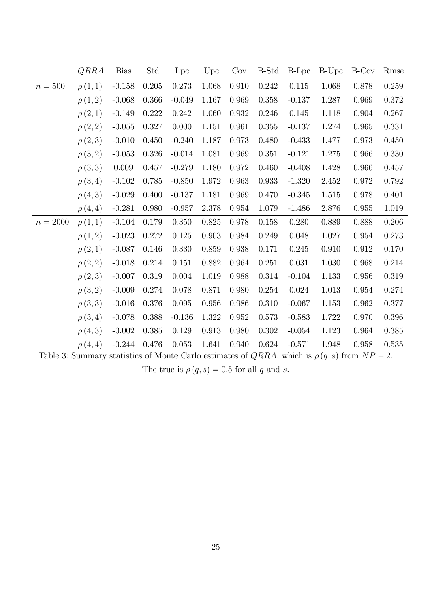|            | QRRA        | <b>Bias</b> | Std   | Lpc      | Upc   | Cov       | B-Std     | $B-Lpc$  | B-Upc | B-Cov     | Rmse      |
|------------|-------------|-------------|-------|----------|-------|-----------|-----------|----------|-------|-----------|-----------|
| $n=500$    | $\rho(1,1)$ | $-0.158$    | 0.205 | 0.273    | 1.068 | 0.910     | $0.242\,$ | 0.115    | 1.068 | 0.878     | 0.259     |
|            | $\rho(1,2)$ | $-0.068$    | 0.366 | $-0.049$ | 1.167 | 0.969     | 0.358     | $-0.137$ | 1.287 | 0.969     | 0.372     |
|            | $\rho(2,1)$ | $-0.149$    | 0.222 | 0.242    | 1.060 | 0.932     | 0.246     | 0.145    | 1.118 | 0.904     | 0.267     |
|            | $\rho(2,2)$ | $-0.055$    | 0.327 | 0.000    | 1.151 | 0.961     | $0.355\,$ | $-0.137$ | 1.274 | 0.965     | 0.331     |
|            | $\rho(2,3)$ | $-0.010$    | 0.450 | $-0.240$ | 1.187 | 0.973     | 0.480     | $-0.433$ | 1.477 | 0.973     | 0.450     |
|            | $\rho(3,2)$ | $-0.053$    | 0.326 | $-0.014$ | 1.081 | 0.969     | 0.351     | $-0.121$ | 1.275 | 0.966     | $0.330\,$ |
|            | $\rho(3,3)$ | 0.009       | 0.457 | $-0.279$ | 1.180 | 0.972     | 0.460     | $-0.408$ | 1.428 | 0.966     | 0.457     |
|            | $\rho(3,4)$ | $-0.102$    | 0.785 | $-0.850$ | 1.972 | 0.963     | 0.933     | $-1.320$ | 2.452 | 0.972     | 0.792     |
|            | $\rho(4,3)$ | $-0.029$    | 0.400 | $-0.137$ | 1.181 | 0.969     | 0.470     | $-0.345$ | 1.515 | 0.978     | 0.401     |
|            | $\rho(4,4)$ | $-0.281$    | 0.980 | $-0.957$ | 2.378 | $0.954\,$ | 1.079     | $-1.486$ | 2.876 | $0.955\,$ | 1.019     |
| $n = 2000$ | $\rho(1,1)$ | $-0.104$    | 0.179 | 0.350    | 0.825 | 0.978     | 0.158     | 0.280    | 0.889 | 0.888     | 0.206     |
|            | $\rho(1,2)$ | $-0.023$    | 0.272 | 0.125    | 0.903 | 0.984     | 0.249     | 0.048    | 1.027 | $0.954\,$ | 0.273     |
|            | $\rho(2,1)$ | $-0.087$    | 0.146 | 0.330    | 0.859 | 0.938     | 0.171     | 0.245    | 0.910 | $\!0.912$ | 0.170     |
|            | $\rho(2,2)$ | $-0.018$    | 0.214 | 0.151    | 0.882 | 0.964     | 0.251     | 0.031    | 1.030 | 0.968     | 0.214     |
|            | $\rho(2,3)$ | $-0.007$    | 0.319 | 0.004    | 1.019 | 0.988     | 0.314     | $-0.104$ | 1.133 | 0.956     | 0.319     |
|            | $\rho(3,2)$ | $-0.009$    | 0.274 | 0.078    | 0.871 | 0.980     | 0.254     | 0.024    | 1.013 | $0.954\,$ | 0.274     |
|            | $\rho(3,3)$ | $-0.016$    | 0.376 | 0.095    | 0.956 | 0.986     | 0.310     | $-0.067$ | 1.153 | 0.962     | 0.377     |
|            | $\rho(3,4)$ | $-0.078$    | 0.388 | $-0.136$ | 1.322 | 0.952     | 0.573     | $-0.583$ | 1.722 | 0.970     | $0.396\,$ |
|            | $\rho(4,3)$ | $-0.002$    | 0.385 | 0.129    | 0.913 | 0.980     | 0.302     | $-0.054$ | 1.123 | 0.964     | 0.385     |
|            | $\rho(4,4)$ | $-0.244$    | 0.476 | 0.053    | 1.641 | 0.940     | 0.624     | $-0.571$ | 1.948 | 0.958     | 0.535     |

Table 3: Summary statistics of Monte Carlo estimates of  $QRRA$ , which is  $\rho(q, s)$  from  $NP - 2$ .

The true is  $\rho(q, s) = 0.5$  for all q and s.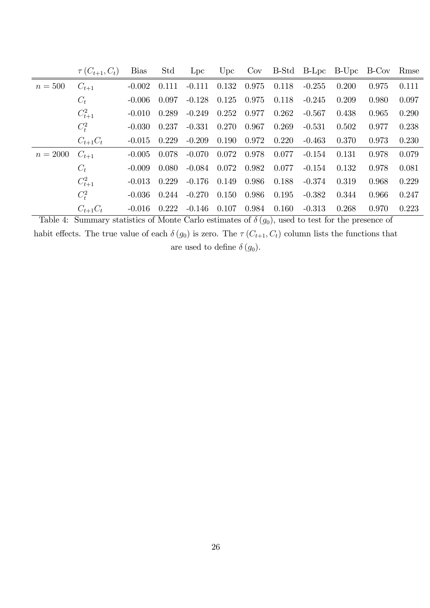|            | $\tau(C_{t+1},C_t)$ | <b>Bias</b> | Std   | Lpc      | Upc   |       |       |          | Cov B-Std B-Lpc B-Upc B-Cov Rmse |       |       |
|------------|---------------------|-------------|-------|----------|-------|-------|-------|----------|----------------------------------|-------|-------|
| $n=500$    | $C_{t+1}$           | $-0.002$    | 0.111 | $-0.111$ | 0.132 | 0.975 | 0.118 | $-0.255$ | 0.200                            | 0.975 | 0.111 |
|            | $C_t$               | $-0.006$    | 0.097 | $-0.128$ | 0.125 | 0.975 | 0.118 | $-0.245$ | 0.209                            | 0.980 | 0.097 |
|            | $C_{t+1}^2$         | $-0.010$    | 0.289 | $-0.249$ | 0.252 | 0.977 | 0.262 | $-0.567$ | 0.438                            | 0.965 | 0.290 |
|            | $C_t^2$             | $-0.030$    | 0.237 | $-0.331$ | 0.270 | 0.967 | 0.269 | $-0.531$ | 0.502                            | 0.977 | 0.238 |
|            | $C_{t+1}C_t$        | $-0.015$    | 0.229 | $-0.209$ | 0.190 | 0.972 | 0.220 | $-0.463$ | 0.370                            | 0.973 | 0.230 |
| $n = 2000$ | $C_{t+1}$           | $-0.005$    | 0.078 | $-0.070$ | 0.072 | 0.978 | 0.077 | $-0.154$ | 0.131                            | 0.978 | 0.079 |
|            | $C_t$               | $-0.009$    | 0.080 | $-0.084$ | 0.072 | 0.982 | 0.077 | $-0.154$ | 0.132                            | 0.978 | 0.081 |
|            | $C_{t+1}^2$         | $-0.013$    | 0.229 | $-0.176$ | 0.149 | 0.986 | 0.188 | $-0.374$ | 0.319                            | 0.968 | 0.229 |
|            | $C_t^2$             | $-0.036$    | 0.244 | $-0.270$ | 0.150 | 0.986 | 0.195 | $-0.382$ | 0.344                            | 0.966 | 0.247 |
|            | $C_{t+1}C_t$        | $-0.016$    | 0.222 | $-0.146$ | 0.107 | 0.984 | 0.160 | $-0.313$ | 0.268                            | 0.970 | 0.223 |

Table 4: Summary statistics of Monte Carlo estimates of  $\delta(g_0)$ , used to test for the presence of habit effects. The true value of each  $\delta(g_0)$  is zero. The  $\tau(C_{t+1}, C_t)$  column lists the functions that are used to define  $\delta(g_0)$ .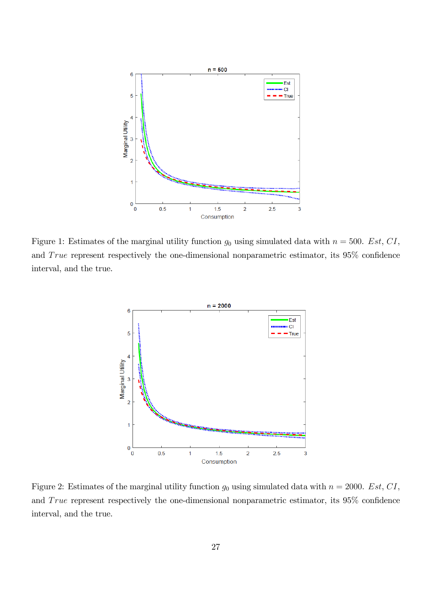

Figure 1: Estimates of the marginal utility function  $g_0$  using simulated data with  $n = 500$ . Est, CI, and  $True$  represent respectively the one-dimensional nonparametric estimator, its  $95\%$  confidence interval, and the true.



Figure 2: Estimates of the marginal utility function  $g_0$  using simulated data with  $n = 2000$ . Est, CI, and  $True$  represent respectively the one-dimensional nonparametric estimator, its  $95\%$  confidence interval, and the true.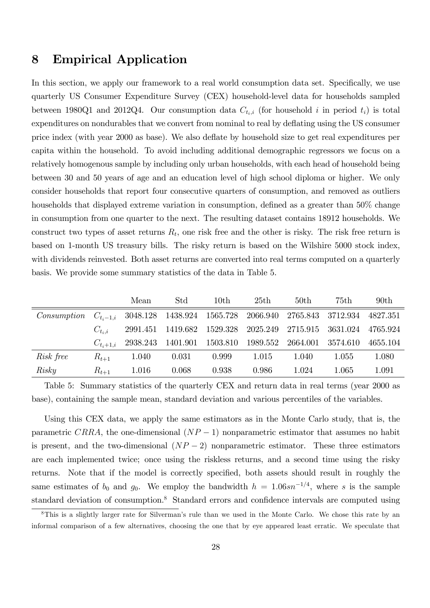## 8 Empirical Application

In this section, we apply our framework to a real world consumption data set. Specifically, we use quarterly US Consumer Expenditure Survey (CEX) household-level data for households sampled between 1980Q1 and 2012Q4. Our consumption data  $C_{t_i,i}$  (for household i in period  $t_i$ ) is total expenditures on nondurables that we convert from nominal to real by deáating using the US consumer price index (with year 2000 as base). We also deflate by household size to get real expenditures per capita within the household. To avoid including additional demographic regressors we focus on a relatively homogenous sample by including only urban households, with each head of household being between 30 and 50 years of age and an education level of high school diploma or higher. We only consider households that report four consecutive quarters of consumption, and removed as outliers households that displayed extreme variation in consumption, defined as a greater than  $50\%$  change in consumption from one quarter to the next. The resulting dataset contains 18912 households. We construct two types of asset returns  $R_t$ , one risk free and the other is risky. The risk free return is based on 1-month US treasury bills. The risky return is based on the Wilshire 5000 stock index, with dividends reinvested. Both asset returns are converted into real terms computed on a quarterly basis. We provide some summary statistics of the data in Table 5.

|             |               | Mean     | Std                                 | 10th                       | 25th     | 50 <sub>th</sub> | 75th     | 90 <sub>th</sub> |
|-------------|---------------|----------|-------------------------------------|----------------------------|----------|------------------|----------|------------------|
| Consumption | $C_{t_i-1,i}$ |          | 3048.128 1438.924 1565.728 2066.940 |                            |          | 2765.843         | 3712.934 | 4827.351         |
|             | $C_{t_i,i}$   | 2991.451 |                                     | 1419.682 1529.328 2025.249 |          | 2715.915         | 3631.024 | 4765.924         |
|             | $C_{t_i+1,i}$ |          | 2938.243 1401.901 1503.810          |                            | 1989.552 | 2664.001         | 3574.610 | 4655.104         |
| Risk free   | $R_{t+1}$     | 1.040    | 0.031                               | 0.999                      | 1.015    | 1.040            | 1.055    | 1.080            |
| Risky       | $R_{t+1}$     | 1.016    | 0.068                               | 0.938                      | 0.986    | 1.024            | 1.065    | 1.091            |

Table 5: Summary statistics of the quarterly CEX and return data in real terms (year 2000 as base), containing the sample mean, standard deviation and various percentiles of the variables.

Using this CEX data, we apply the same estimators as in the Monte Carlo study, that is, the parametric CRRA, the one-dimensional  $(NP-1)$  nonparametric estimator that assumes no habit is present, and the two-dimensional  $(NP-2)$  nonparametric estimator. These three estimators are each implemented twice; once using the riskless returns, and a second time using the risky returns. Note that if the model is correctly specified, both assets should result in roughly the same estimates of  $b_0$  and  $g_0$ . We employ the bandwidth  $h = 1.06sn^{-1/4}$ , where s is the sample standard deviation of consumption.<sup>8</sup> Standard errors and confidence intervals are computed using

<sup>&</sup>lt;sup>8</sup>This is a slightly larger rate for Silverman's rule than we used in the Monte Carlo. We chose this rate by an informal comparison of a few alternatives, choosing the one that by eye appeared least erratic. We speculate that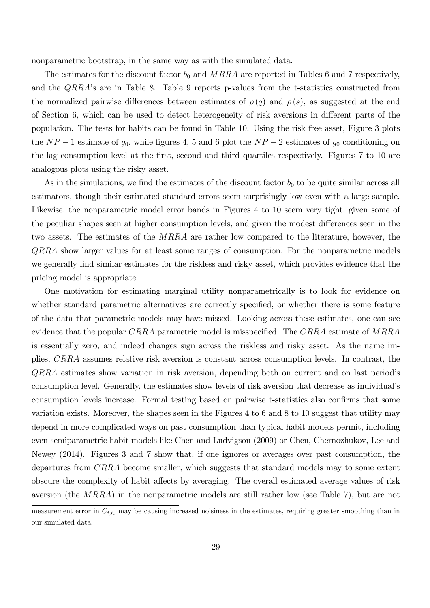nonparametric bootstrap, in the same way as with the simulated data.

The estimates for the discount factor  $b_0$  and MRRA are reported in Tables 6 and 7 respectively, and the *QRRA*'s are in Table 8. Table 9 reports p-values from the t-statistics constructed from the normalized pairwise differences between estimates of  $\rho(q)$  and  $\rho(s)$ , as suggested at the end of Section 6, which can be used to detect heterogeneity of risk aversions in different parts of the population. The tests for habits can be found in Table 10. Using the risk free asset, Figure 3 plots the  $NP-1$  estimate of  $g_0$ , while figures 4, 5 and 6 plot the  $NP-2$  estimates of  $g_0$  conditioning on the lag consumption level at the Örst, second and third quartiles respectively. Figures 7 to 10 are analogous plots using the risky asset.

As in the simulations, we find the estimates of the discount factor  $b_0$  to be quite similar across all estimators, though their estimated standard errors seem surprisingly low even with a large sample. Likewise, the nonparametric model error bands in Figures 4 to 10 seem very tight, given some of the peculiar shapes seen at higher consumption levels, and given the modest differences seen in the two assets. The estimates of the MRRA are rather low compared to the literature, however, the QRRA show larger values for at least some ranges of consumption. For the nonparametric models we generally find similar estimates for the riskless and risky asset, which provides evidence that the pricing model is appropriate.

One motivation for estimating marginal utility nonparametrically is to look for evidence on whether standard parametric alternatives are correctly specified, or whether there is some feature of the data that parametric models may have missed. Looking across these estimates, one can see evidence that the popular CRRA parametric model is misspecified. The CRRA estimate of  $MRRA$ is essentially zero, and indeed changes sign across the riskless and risky asset. As the name implies, CRRA assumes relative risk aversion is constant across consumption levels. In contrast, the  $QRRA$  estimates show variation in risk aversion, depending both on current and on last period's consumption level. Generally, the estimates show levels of risk aversion that decrease as individual's consumption levels increase. Formal testing based on pairwise t-statistics also confirms that some variation exists. Moreover, the shapes seen in the Figures 4 to 6 and 8 to 10 suggest that utility may depend in more complicated ways on past consumption than typical habit models permit, including even semiparametric habit models like Chen and Ludvigson (2009) or Chen, Chernozhukov, Lee and Newey (2014). Figures 3 and 7 show that, if one ignores or averages over past consumption, the departures from CRRA become smaller, which suggests that standard models may to some extent obscure the complexity of habit affects by averaging. The overall estimated average values of risk aversion (the MRRA) in the nonparametric models are still rather low (see Table 7), but are not

measurement error in  $C_{i,t_i}$  may be causing increased noisiness in the estimates, requiring greater smoothing than in our simulated data.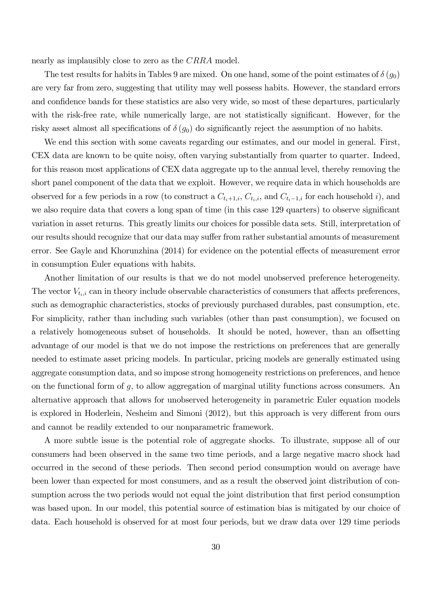nearly as implausibly close to zero as the CRRA model.

The test results for habits in Tables 9 are mixed. On one hand, some of the point estimates of  $\delta(g_0)$ are very far from zero, suggesting that utility may well possess habits. However, the standard errors and confidence bands for these statistics are also very wide, so most of these departures, particularly with the risk-free rate, while numerically large, are not statistically significant. However, for the risky asset almost all specifications of  $\delta(g_0)$  do significantly reject the assumption of no habits.

We end this section with some caveats regarding our estimates, and our model in general. First, CEX data are known to be quite noisy, often varying substantially from quarter to quarter. Indeed, for this reason most applications of CEX data aggregate up to the annual level, thereby removing the short panel component of the data that we exploit. However, we require data in which households are observed for a few periods in a row (to construct a  $C_{t_i+1,i}$ ,  $C_{t_i,i}$ , and  $C_{t_i-1,i}$  for each household i), and we also require data that covers a long span of time (in this case 129 quarters) to observe significant variation in asset returns. This greatly limits our choices for possible data sets. Still, interpretation of our results should recognize that our data may suffer from rather substantial amounts of measurement error. See Gayle and Khorunzhina (2014) for evidence on the potential effects of measurement error in consumption Euler equations with habits.

Another limitation of our results is that we do not model unobserved preference heterogeneity. The vector  $V_{t_i,i}$  can in theory include observable characteristics of consumers that affects preferences, such as demographic characteristics, stocks of previously purchased durables, past consumption, etc. For simplicity, rather than including such variables (other than past consumption), we focused on a relatively homogeneous subset of households. It should be noted, however, than an offsetting advantage of our model is that we do not impose the restrictions on preferences that are generally needed to estimate asset pricing models. In particular, pricing models are generally estimated using aggregate consumption data, and so impose strong homogeneity restrictions on preferences, and hence on the functional form of  $g$ , to allow aggregation of marginal utility functions across consumers. An alternative approach that allows for unobserved heterogeneity in parametric Euler equation models is explored in Hoderlein, Nesheim and Simoni (2012), but this approach is very different from ours and cannot be readily extended to our nonparametric framework.

A more subtle issue is the potential role of aggregate shocks. To illustrate, suppose all of our consumers had been observed in the same two time periods, and a large negative macro shock had occurred in the second of these periods. Then second period consumption would on average have been lower than expected for most consumers, and as a result the observed joint distribution of consumption across the two periods would not equal the joint distribution that first period consumption was based upon. In our model, this potential source of estimation bias is mitigated by our choice of data. Each household is observed for at most four periods, but we draw data over 129 time periods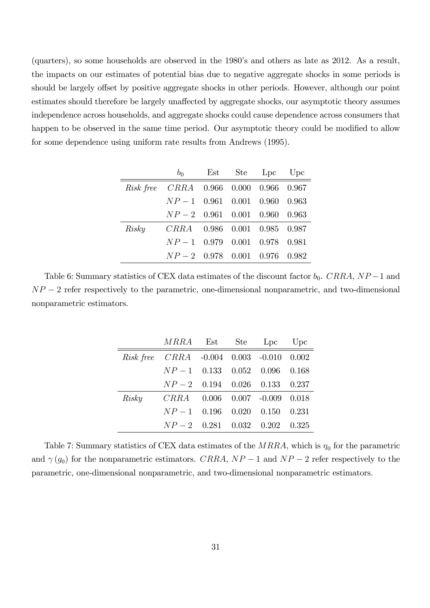(quarters), so some households are observed in the 1980ís and others as late as 2012. As a result, the impacts on our estimates of potential bias due to negative aggregate shocks in some periods is should be largely offset by positive aggregate shocks in other periods. However, although our point estimates should therefore be largely unaffected by aggregate shocks, our asymptotic theory assumes independence across households, and aggregate shocks could cause dependence across consumers that happen to be observed in the same time period. Our asymptotic theory could be modified to allow for some dependence using uniform rate results from Andrews (1995).

|       | $b_0$                                  |  | Est Ste Lpc Upc |  |
|-------|----------------------------------------|--|-----------------|--|
|       | Risk free CRRA 0.966 0.000 0.966 0.967 |  |                 |  |
|       | $NP-1$ 0.961 0.001 0.960 0.963         |  |                 |  |
|       | $NP-2$ 0.961 0.001 0.960 0.963         |  |                 |  |
| Risky | CRRA 0.986 0.001 0.985 0.987           |  |                 |  |
|       | $NP-1$ 0.979 0.001 0.978 0.981         |  |                 |  |
|       | $NP-2$ 0.978 0.001 0.976 0.982         |  |                 |  |

Table 6: Summary statistics of CEX data estimates of the discount factor  $b_0$ . CRRA,  $NP-1$  and  $NP-2$  refer respectively to the parametric, one-dimensional nonparametric, and two-dimensional nonparametric estimators.

| <i>MRRA</i> Est Ste Lpc Upc              |  |  |
|------------------------------------------|--|--|
| Risk free CRRA -0.004 0.003 -0.010 0.002 |  |  |
| $NP-1$ 0.133 0.052 0.096 0.168           |  |  |
| $NP-2$ 0.194 0.026 0.133 0.237           |  |  |
| Risky CRRA 0.006 0.007 -0.009 0.018      |  |  |
| $NP-1$ 0.196 0.020 0.150 0.231           |  |  |
| $NP-2$ 0.281 0.032 0.202 0.325           |  |  |

Table 7: Summary statistics of CEX data estimates of the  $MRRA$ , which is  $\eta_0$  for the parametric and  $\gamma(g_0)$  for the nonparametric estimators. CRRA,  $NP-1$  and  $NP-2$  refer respectively to the parametric, one-dimensional nonparametric, and two-dimensional nonparametric estimators.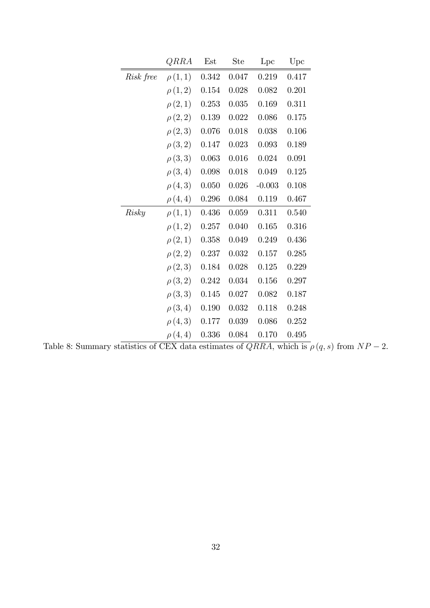|           | QRRA        | Est   | <b>Ste</b> | Lpc       | Upc   |
|-----------|-------------|-------|------------|-----------|-------|
| Risk free | $\rho(1,1)$ | 0.342 | 0.047      | 0.219     | 0.417 |
|           | $\rho(1,2)$ | 0.154 | 0.028      | 0.082     | 0.201 |
|           | $\rho(2,1)$ | 0.253 | 0.035      | 0.169     | 0.311 |
|           | $\rho(2,2)$ | 0.139 | 0.022      | 0.086     | 0.175 |
|           | $\rho(2,3)$ | 0.076 | 0.018      | 0.038     | 0.106 |
|           | $\rho(3,2)$ | 0.147 | 0.023      | 0.093     | 0.189 |
|           | $\rho(3,3)$ | 0.063 | 0.016      | 0.024     | 0.091 |
|           | $\rho(3,4)$ | 0.098 | 0.018      | 0.049     | 0.125 |
|           | $\rho(4,3)$ | 0.050 | 0.026      | $-0.003$  | 0.108 |
|           | $\rho(4,4)$ | 0.296 | 0.084      | 0.119     | 0.467 |
| Risky     | $\rho(1,1)$ | 0.436 | $0.059\,$  | 0.311     | 0.540 |
|           | $\rho(1,2)$ | 0.257 | 0.040      | 0.165     | 0.316 |
|           | $\rho(2,1)$ | 0.358 | 0.049      | 0.249     | 0.436 |
|           | $\rho(2,2)$ | 0.237 | 0.032      | $0.157\,$ | 0.285 |
|           | $\rho(2,3)$ | 0.184 | 0.028      | 0.125     | 0.229 |
|           | $\rho(3,2)$ | 0.242 | 0.034      | 0.156     | 0.297 |
|           | $\rho(3,3)$ | 0.145 | 0.027      | 0.082     | 0.187 |
|           | $\rho(3,4)$ | 0.190 | 0.032      | $0.118\,$ | 0.248 |
|           | $\rho(4,3)$ | 0.177 | 0.039      | 0.086     | 0.252 |
|           | $\rho(4,4)$ | 0.336 | 0.084      | 0.170     | 0.495 |

Table 8: Summary statistics of CEX data estimates of  $QRRA$ , which is  $\rho(q, s)$  from  $NP - 2$ .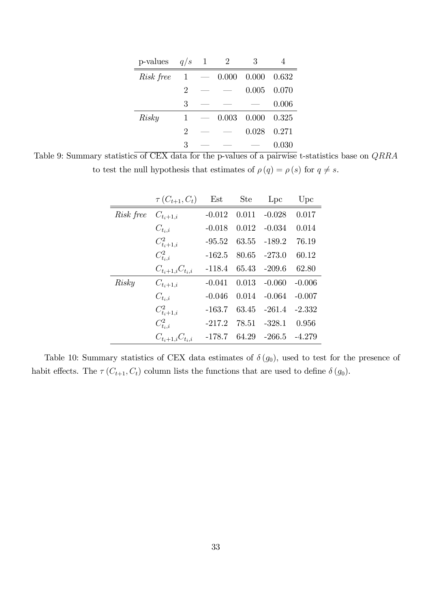| p-values  | q/s          | $\mathbf{1}$ | 2     | 3     |       |
|-----------|--------------|--------------|-------|-------|-------|
| Risk free | $\mathbf{1}$ |              | 0.000 | 0.000 | 0.632 |
|           | 2            |              |       | 0.005 | 0.070 |
|           | 3            |              |       |       | 0.006 |
| Risky     | 1            |              | 0.003 | 0.000 | 0.325 |
|           | 2            |              |       | 0.028 | 0.271 |
|           | 3            |              |       |       | 0.030 |

Table 9: Summary statistics of CEX data for the p-values of a pairwise t-statistics base on QRRA to test the null hypothesis that estimates of  $\rho(q) = \rho(s)$  for  $q \neq s$ .

|           | $\tau(C_{t+1}, C_t)$       | Est      | <b>Ste</b> | Lpc      | Upc      |
|-----------|----------------------------|----------|------------|----------|----------|
| Risk free | $C_{t_i+1,i}$              | $-0.012$ | 0.011      | $-0.028$ | 0.017    |
|           | $C_{t_i,i}$                | $-0.018$ | 0.012      | $-0.034$ | 0.014    |
|           | $C_{t_{i}+1,i}^{2}$        | $-95.52$ | 63.55      | $-189.2$ | 76.19    |
|           | $C_{t_i,i}^2$              | $-162.5$ | 80.65      | $-273.0$ | 60.12    |
|           | $C_{t_{i}+1,i}C_{t_{i},i}$ | $-118.4$ | 65.43      | $-209.6$ | 62.80    |
| Risky     | $C_{t_i+1,i}$              | $-0.041$ | 0.013      | $-0.060$ | $-0.006$ |
|           | $C_{t_i,i}$                | $-0.046$ | 0.014      | $-0.064$ | $-0.007$ |
|           | $C_{t_{i}+1,i}^{2}$        | $-163.7$ | 63.45      | $-261.4$ | $-2.332$ |
|           | $C_{t_i,i}^2$              | $-217.2$ | 78.51      | $-328.1$ | 0.956    |
|           | $C_{t_i+1,i}C_{t_i,i}$     | $-178.7$ | 64.29      | $-266.5$ | $-4.279$ |

Table 10: Summary statistics of CEX data estimates of  $\delta(g_0)$ , used to test for the presence of habit effects. The  $\tau(C_{t+1}, C_t)$  column lists the functions that are used to define  $\delta(g_0)$ .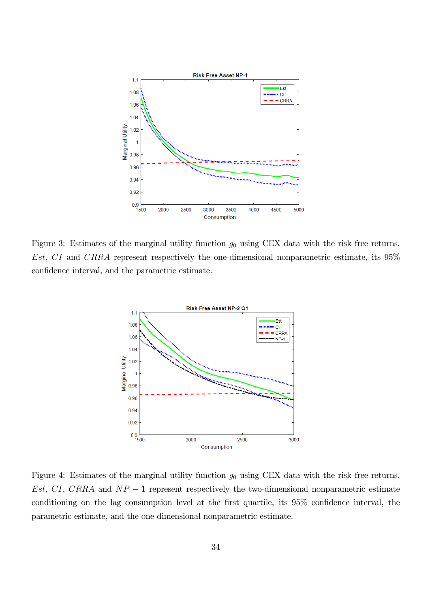

Figure 3: Estimates of the marginal utility function  $g_0$  using CEX data with the risk free returns. Est, CI and CRRA represent respectively the one-dimensional nonparametric estimate, its 95% confidence interval, and the parametric estimate.



Figure 4: Estimates of the marginal utility function  $g_0$  using CEX data with the risk free returns. Est, CI, CRRA and  $NP-1$  represent respectively the two-dimensional nonparametric estimate conditioning on the lag consumption level at the first quartile, its  $95\%$  confidence interval, the parametric estimate, and the one-dimensional nonparametric estimate.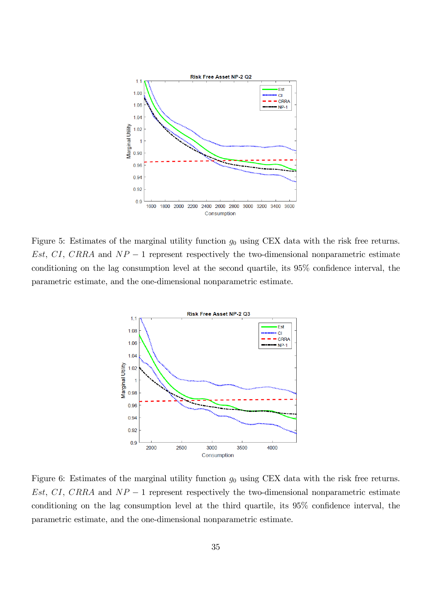

Figure 5: Estimates of the marginal utility function  $g_0$  using CEX data with the risk free returns. Est, CI, CRRA and  $NP-1$  represent respectively the two-dimensional nonparametric estimate conditioning on the lag consumption level at the second quartile, its  $95\%$  confidence interval, the parametric estimate, and the one-dimensional nonparametric estimate.



Figure 6: Estimates of the marginal utility function  $g_0$  using CEX data with the risk free returns. Est, CI, CRRA and  $NP-1$  represent respectively the two-dimensional nonparametric estimate conditioning on the lag consumption level at the third quartile, its  $95\%$  confidence interval, the parametric estimate, and the one-dimensional nonparametric estimate.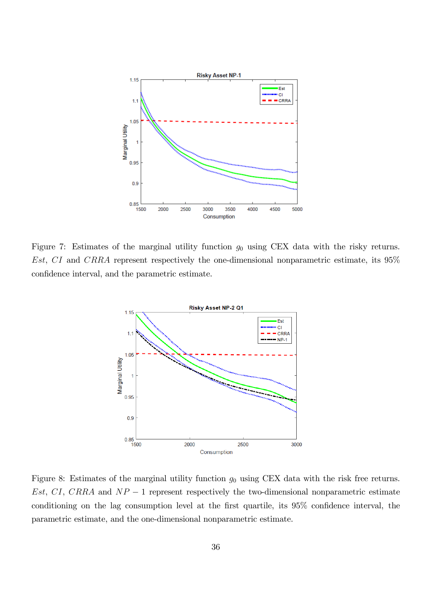

Figure 7: Estimates of the marginal utility function  $g_0$  using CEX data with the risky returns. Est, CI and CRRA represent respectively the one-dimensional nonparametric estimate, its 95% confidence interval, and the parametric estimate.



Figure 8: Estimates of the marginal utility function  $g_0$  using CEX data with the risk free returns. Est, CI, CRRA and  $NP-1$  represent respectively the two-dimensional nonparametric estimate conditioning on the lag consumption level at the first quartile, its  $95\%$  confidence interval, the parametric estimate, and the one-dimensional nonparametric estimate.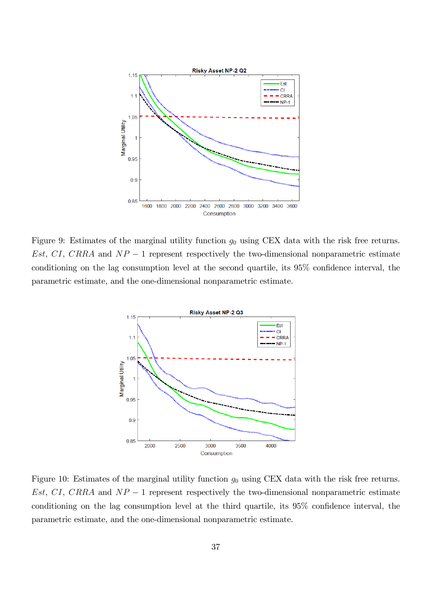

Figure 9: Estimates of the marginal utility function  $g_0$  using CEX data with the risk free returns. Est, CI, CRRA and  $NP-1$  represent respectively the two-dimensional nonparametric estimate conditioning on the lag consumption level at the second quartile, its  $95\%$  confidence interval, the parametric estimate, and the one-dimensional nonparametric estimate.



Figure 10: Estimates of the marginal utility function  $g_0$  using CEX data with the risk free returns. Est, CI, CRRA and  $NP-1$  represent respectively the two-dimensional nonparametric estimate conditioning on the lag consumption level at the third quartile, its  $95\%$  confidence interval, the parametric estimate, and the one-dimensional nonparametric estimate.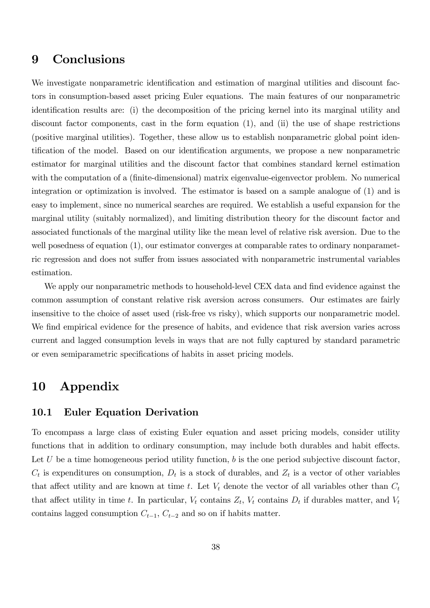## 9 Conclusions

We investigate nonparametric identification and estimation of marginal utilities and discount factors in consumption-based asset pricing Euler equations. The main features of our nonparametric identification results are: (i) the decomposition of the pricing kernel into its marginal utility and discount factor components, cast in the form equation (1), and (ii) the use of shape restrictions (positive marginal utilities). Together, these allow us to establish nonparametric global point identification of the model. Based on our identification arguments, we propose a new nonparametric estimator for marginal utilities and the discount factor that combines standard kernel estimation with the computation of a (finite-dimensional) matrix eigenvalue-eigenvector problem. No numerical integration or optimization is involved. The estimator is based on a sample analogue of (1) and is easy to implement, since no numerical searches are required. We establish a useful expansion for the marginal utility (suitably normalized), and limiting distribution theory for the discount factor and associated functionals of the marginal utility like the mean level of relative risk aversion. Due to the well posedness of equation  $(1)$ , our estimator converges at comparable rates to ordinary nonparametric regression and does not suffer from issues associated with nonparametric instrumental variables estimation.

We apply our nonparametric methods to household-level CEX data and find evidence against the common assumption of constant relative risk aversion across consumers. Our estimates are fairly insensitive to the choice of asset used (risk-free vs risky), which supports our nonparametric model. We find empirical evidence for the presence of habits, and evidence that risk aversion varies across current and lagged consumption levels in ways that are not fully captured by standard parametric or even semiparametric specifications of habits in asset pricing models.

# 10 Appendix

## 10.1 Euler Equation Derivation

To encompass a large class of existing Euler equation and asset pricing models, consider utility functions that in addition to ordinary consumption, may include both durables and habit effects. Let U be a time homogeneous period utility function, b is the one period subjective discount factor,  $C_t$  is expenditures on consumption,  $D_t$  is a stock of durables, and  $Z_t$  is a vector of other variables that affect utility and are known at time t. Let  $V_t$  denote the vector of all variables other than  $C_t$ that affect utility in time t. In particular,  $V_t$  contains  $Z_t$ ,  $V_t$  contains  $D_t$  if durables matter, and  $V_t$ contains lagged consumption  $C_{t-1}$ ,  $C_{t-2}$  and so on if habits matter.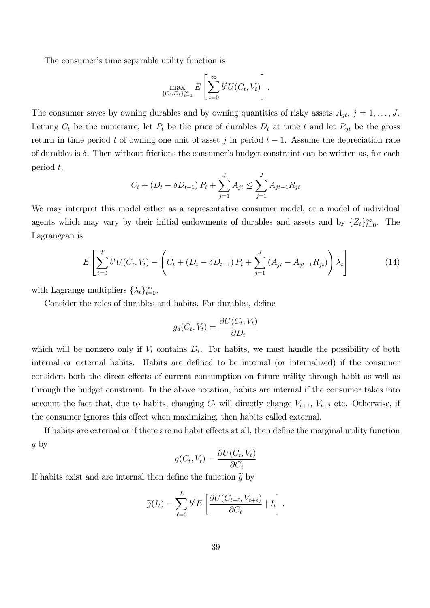The consumer's time separable utility function is

$$
\max_{\{C_t, D_t\}_{t=1}^{\infty}} E\left[\sum_{t=0}^{\infty} b^t U(C_t, V_t)\right].
$$

The consumer saves by owning durables and by owning quantities of risky assets  $A_{jt}$ ,  $j = 1, \ldots, J$ . Letting  $C_t$  be the numeraire, let  $P_t$  be the price of durables  $D_t$  at time t and let  $R_{jt}$  be the gross return in time period t of owning one unit of asset j in period  $t-1$ . Assume the depreciation rate of durables is  $\delta$ . Then without frictions the consumer's budget constraint can be written as, for each period t,

$$
C_t + (D_t - \delta D_{t-1}) P_t + \sum_{j=1}^{J} A_{jt} \le \sum_{j=1}^{J} A_{jt-1} R_{jt}
$$

We may interpret this model either as a representative consumer model, or a model of individual agents which may vary by their initial endowments of durables and assets and by  $\{Z_t\}_{t=1}^{\infty}$  $\text{The}$ Lagrangean is

$$
E\left[\sum_{t=0}^{T} b^t U(C_t, V_t) - \left(C_t + (D_t - \delta D_{t-1}) P_t + \sum_{j=1}^{J} (A_{jt} - A_{jt-1} R_{jt})\right) \lambda_t\right]
$$
(14)

with Lagrange multipliers  $\{\lambda_t\}_{t=0}^{\infty}$ .

Consider the roles of durables and habits. For durables, define

$$
g_d(C_t, V_t) = \frac{\partial U(C_t, V_t)}{\partial D_t}
$$

which will be nonzero only if  $V_t$  contains  $D_t$ . For habits, we must handle the possibility of both internal or external habits. Habits are defined to be internal (or internalized) if the consumer considers both the direct effects of current consumption on future utility through habit as well as through the budget constraint. In the above notation, habits are internal if the consumer takes into account the fact that, due to habits, changing  $C_t$  will directly change  $V_{t+1}$ ,  $V_{t+2}$  etc. Otherwise, if the consumer ignores this effect when maximizing, then habits called external.

If habits are external or if there are no habit effects at all, then define the marginal utility function  $g$  by

$$
g(C_t, V_t) = \frac{\partial U(C_t, V_t)}{\partial C_t}
$$

If habits exist and are internal then define the function  $\tilde{g}$  by

$$
\widetilde{g}(I_t) = \sum_{\ell=0}^L b^{\ell} E\left[\frac{\partial U(C_{t+\ell}, V_{t+\ell})}{\partial C_t} | I_t\right].
$$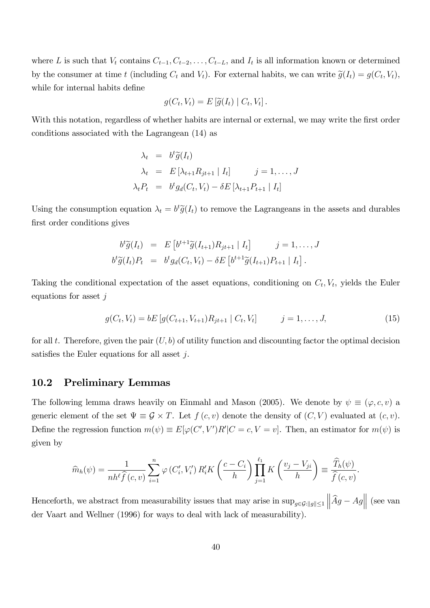where L is such that  $V_t$  contains  $C_{t-1}, C_{t-2}, \ldots, C_{t-L}$ , and  $I_t$  is all information known or determined by the consumer at time t (including  $C_t$  and  $V_t$ ). For external habits, we can write  $\tilde{g}(I_t) = g(C_t, V_t)$ , while for internal habits define

$$
g(C_t, V_t) = E[\widetilde{g}(I_t) | C_t, V_t].
$$

With this notation, regardless of whether habits are internal or external, we may write the first order conditions associated with the Lagrangean (14) as

$$
\lambda_t = b^t \widetilde{g}(I_t)
$$
  
\n
$$
\lambda_t = E[\lambda_{t+1} R_{jt+1} | I_t] \qquad j = 1, ..., J
$$
  
\n
$$
\lambda_t P_t = b^t g_d(C_t, V_t) - \delta E[\lambda_{t+1} P_{t+1} | I_t]
$$

Using the consumption equation  $\lambda_t = b^t \tilde{g}(I_t)$  to remove the Lagrangeans in the assets and durables first order conditions gives

$$
b^t \widetilde{g}(I_t) = E \left[ b^{t+1} \widetilde{g}(I_{t+1}) R_{jt+1} \mid I_t \right] \qquad j = 1, \ldots, J
$$
  

$$
b^t \widetilde{g}(I_t) P_t = b^t g_d(C_t, V_t) - \delta E \left[ b^{t+1} \widetilde{g}(I_{t+1}) P_{t+1} \mid I_t \right].
$$

Taking the conditional expectation of the asset equations, conditioning on  $C_t$ ,  $V_t$ , yields the Euler equations for asset  $j$ 

$$
g(C_t, V_t) = bE[g(C_{t+1}, V_{t+1})R_{jt+1} | C_t, V_t] \qquad j = 1, ..., J,
$$
\n(15)

for all t. Therefore, given the pair  $(U, b)$  of utility function and discounting factor the optimal decision satisfies the Euler equations for all asset  $i$ .

### 10.2 Preliminary Lemmas

The following lemma draws heavily on Einmahl and Mason (2005). We denote by  $\psi \equiv (\varphi, c, v)$  a generic element of the set  $\Psi \equiv \mathcal{G} \times T$ . Let  $f(c, v)$  denote the density of  $(C, V)$  evaluated at  $(c, v)$ . Define the regression function  $m(\psi) \equiv E[\varphi(C', V')R']C = c, V = v]$ . Then, an estimator for  $m(\psi)$  is given by

$$
\widehat{m}_h(\psi) = \frac{1}{nh^\ell \widehat{f}(c, v)} \sum_{i=1}^n \varphi(C_i', V_i') R_i' K\left(\frac{c - C_i}{h}\right) \prod_{j=1}^{\ell_1} K\left(\frac{v_j - V_{ji}}{h}\right) \equiv \frac{\widehat{T}_h(\psi)}{\widehat{f}(c, v)}.
$$

Henceforth, we abstract from measurability issues that may arise in  $\sup_{g \in \mathcal{G}: ||g|| \le 1} ||\hat{A}g - Ag||$  (see van der Vaart and Wellner (1996) for ways to deal with lack of measurability).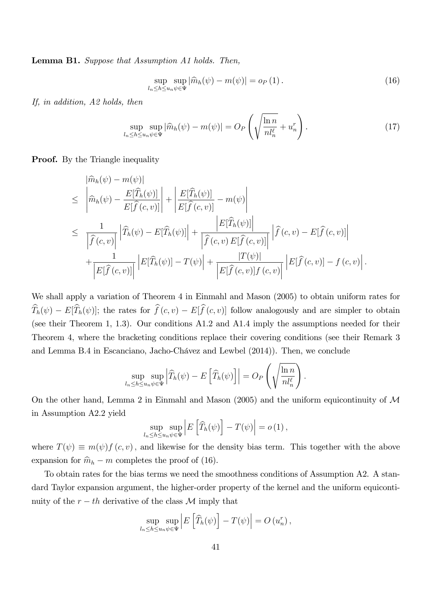Lemma B1. Suppose that Assumption A1 holds. Then,

$$
\sup_{l_n \le h \le u_n \psi \in \Psi} |\widehat{m}_h(\psi) - m(\psi)| = o_P(1).
$$
\n(16)

If, in addition, A2 holds, then

$$
\sup_{l_n \le h \le u_n \psi \in \Psi} |\widehat{m}_h(\psi) - m(\psi)| = O_P\left(\sqrt{\frac{\ln n}{nl_n^{\ell}}} + u_n^r\right).
$$
\n(17)

**Proof.** By the Triangle inequality

$$
\begin{split}\n&= \left| \widehat{m}_h(\psi) - m(\psi) \right| \\
&\leq \left| \widehat{m}_h(\psi) - \frac{E[\widehat{T}_h(\psi)]}{E[\widehat{f}(c, v)]} \right| + \left| \frac{E[\widehat{T}_h(\psi)]}{E[\widehat{f}(c, v)]} - m(\psi) \right| \\
&\leq \left| \frac{1}{\left| \widehat{f}(c, v) \right|} \left| \widehat{T}_h(\psi) - E[\widehat{T}_h(\psi)] \right| + \frac{\left| E[\widehat{T}_h(\psi)] \right|}{\left| \widehat{f}(c, v) E[\widehat{f}(c, v)] \right|} \left| \widehat{f}(c, v) - E[\widehat{f}(c, v)] \right| \\
&\quad + \frac{1}{\left| E[\widehat{f}(c, v)] \right|} \left| E[\widehat{T}_h(\psi)] - T(\psi) \right| + \frac{|T(\psi)|}{\left| E[\widehat{f}(c, v)] f(c, v) \right|} \left| E[\widehat{f}(c, v)] - f(c, v) \right|.\n\end{split}
$$

We shall apply a variation of Theorem 4 in Einmahl and Mason (2005) to obtain uniform rates for  $\widehat{T}_h(\psi) - E[\widehat{T}_h(\psi)]$ ; the rates for  $\widehat{f}(c, v) - E[\widehat{f}(c, v)]$  follow analogously and are simpler to obtain (see their Theorem 1, 1.3). Our conditions A1.2 and A1.4 imply the assumptions needed for their Theorem 4, where the bracketing conditions replace their covering conditions (see their Remark 3 and Lemma B.4 in Escanciano, Jacho-Chávez and Lewbel (2014)). Then, we conclude

$$
\sup_{l_n \leq h \leq u_n \psi \in \Psi} \left| \widehat{T}_h(\psi) - E\left[ \widehat{T}_h(\psi) \right] \right| = O_P\left(\sqrt{\frac{\ln n}{n l_n^{\ell}}}\right).
$$

On the other hand, Lemma 2 in Einmahl and Mason (2005) and the uniform equicontinuity of  $\mathcal M$ in Assumption A2.2 yield

$$
\sup_{l_n \leq h \leq u_n \psi \in \Psi} \left| E\left[\widehat{T}_h(\psi)\right] - T(\psi) \right| = o(1),
$$

where  $T(\psi) \equiv m(\psi) f(c, v)$ , and likewise for the density bias term. This together with the above expansion for  $\hat{m}_h - m$  completes the proof of (16).

To obtain rates for the bias terms we need the smoothness conditions of Assumption A2. A standard Taylor expansion argument, the higher-order property of the kernel and the uniform equicontinuity of the  $r-th$  derivative of the class  $\mathcal M$  imply that

$$
\sup_{l_n \le h \le u_n} \sup_{\psi \in \Psi} \left| E\left[\widehat{T}_h(\psi)\right] - T(\psi) \right| = O\left(u_n^r\right),
$$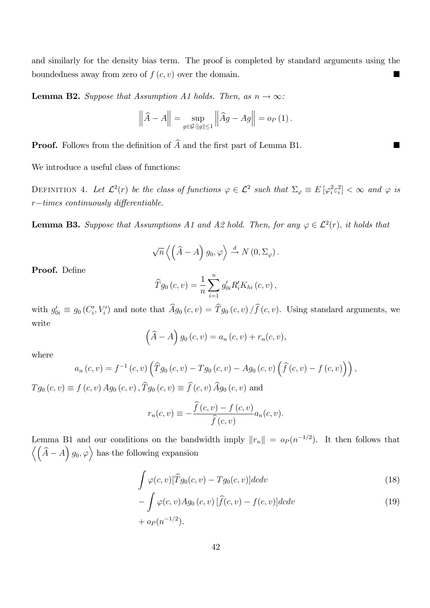and similarly for the density bias term. The proof is completed by standard arguments using the boundedness away from zero of  $f(c, v)$  over the domain.

**Lemma B2.** Suppose that Assumption A1 holds. Then, as  $n \to \infty$ :

$$
\left\|\widehat{A} - A\right\| = \sup_{g \in \mathcal{G}: \|g\| \le 1} \left\|\widehat{A}g - Ag\right\| = o_P\left(1\right).
$$

**Proof.** Follows from the definition of  $\widehat{A}$  and the first part of Lemma B1.

We introduce a useful class of functions:

DEFINITION 4. Let  $\mathcal{L}^2(r)$  be the class of functions  $\varphi \in \mathcal{L}^2$  such that  $\Sigma_{\varphi} \equiv E[\varphi_i^2 \varepsilon_i^2] < \infty$  and  $\varphi$  is  $r-times$  continuously differentiable.

**Lemma B3.** Suppose that Assumptions A1 and A2 hold. Then, for any  $\varphi \in \mathcal{L}^2(r)$ , it holds that

$$
\sqrt{n}\left\langle \left(\widehat{A}-A\right)g_0, \varphi \right\rangle \stackrel{d}{\rightarrow} N\left(0, \Sigma_{\varphi}\right).
$$

Proof. Define

$$
\widehat{T}g_0(c,v) = \frac{1}{n} \sum_{i=1}^n g'_{0i} R'_i K_{hi}(c,v),
$$

with  $g'_{0i} \equiv g_0(C_i', V_i')$  and note that  $Ag_0(c, v) = Tg_0(c, v)/f(c, v)$ . Using standard arguments, we write

$$
(\widehat{A} - A) g_0(c, v) = a_n(c, v) + r_n(c, v),
$$

where

$$
a_n(c, v) = f^{-1}(c, v) \left( \widehat{T}g_0(c, v) - Tg_0(c, v) - Ag_0(c, v) \left( \widehat{f}(c, v) - f(c, v) \right) \right),
$$

 $T_{g_0}(c, v) \equiv f(c, v) Ag_0(c, v), \hat{T}_{g_0}(c, v) \equiv \hat{f}(c, v) \hat{A}_{g_0}(c, v)$  and

$$
r_n(c,v) \equiv -\frac{\widehat{f}(c,v) - f(c,v)}{\widehat{f}(c,v)} a_n(c,v).
$$

Lemma B1 and our conditions on the bandwidth imply  $||r_n|| = o_P (n^{-1/2})$ . It then follows that  $\langle (\hat{A} - A) g_0, \varphi \rangle$  has the following expansion

$$
\int \varphi(c,v)[\widehat{T}g_0(c,v) - Tg_0(c,v)]dcdv\tag{18}
$$

$$
-\int \varphi(c,v)Ag_0(c,v)[\widehat{f}(c,v) - f(c,v)]dcdv
$$
  
+  $o_P(n^{-1/2}).$  (19)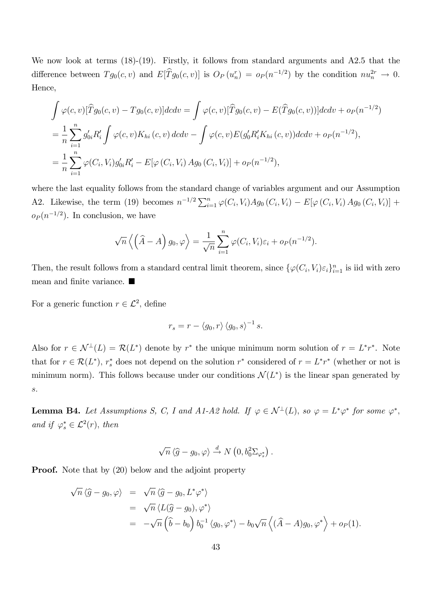We now look at terms  $(18)-(19)$ . Firstly, it follows from standard arguments and A2.5 that the difference between  $Tg_0(c, v)$  and  $E[Tg_0(c, v)]$  is  $O_P(u_n^r) = o_P(n^{-1/2})$  by the condition  $nu_n^{2r} \to 0$ . Hence,

$$
\int \varphi(c,v)[\widehat{T}g_0(c,v) - Tg_0(c,v)]dcdv = \int \varphi(c,v)[\widehat{T}g_0(c,v) - E(\widehat{T}g_0(c,v))]dcdv + o_P(n^{-1/2})
$$
  
=  $\frac{1}{n}\sum_{i=1}^n g'_{0i}R'_i \int \varphi(c,v)K_{hi}(c,v) dcdv - \int \varphi(c,v)E(g'_0R'_iK_{hi}(c,v))dcdv + o_P(n^{-1/2}),$   
=  $\frac{1}{n}\sum_{i=1}^n \varphi(C_i,V_i)g'_{0i}R'_i - E[\varphi(C_i,V_i) Ag_0(C_i,V_i)] + o_P(n^{-1/2}),$ 

where the last equality follows from the standard change of variables argument and our Assumption A2. Likewise, the term (19) becomes  $n^{-1/2} \sum_{i=1}^{n} \varphi(C_i, V_i) Ag_0(C_i, V_i) - E[\varphi(C_i, V_i) Ag_0(C_i, V_i)] +$  $o_P(n^{-1/2})$ . In conclusion, we have

$$
\sqrt{n}\left\langle \left(\widehat{A}-A\right)g_0,\varphi\right\rangle = \frac{1}{\sqrt{n}}\sum_{i=1}^n\varphi(C_i,V_i)\varepsilon_i + o_P(n^{-1/2}).
$$

Then, the result follows from a standard central limit theorem, since  $\{\varphi(C_i, V_i)\varepsilon_i\}_{i=1}^n$  is iid with zero mean and finite variance.  $\blacksquare$ 

For a generic function  $r \in \mathcal{L}^2$ , define

$$
r_s = r - \langle g_0, r \rangle \langle g_0, s \rangle^{-1} s.
$$

Also for  $r \in \mathcal{N}^{\perp}(L) = \mathcal{R}(L^*)$  denote by  $r^*$  the unique minimum norm solution of  $r = L^*r^*$ . Note that for  $r \in \mathcal{R}(L^*), r_s^*$  does not depend on the solution  $r^*$  considered of  $r = L^*r^*$  (whether or not is minimum norm). This follows because under our conditions  $\mathcal{N}(L^*)$  is the linear span generated by s:

**Lemma B4.** Let Assumptions S, C, I and A1-A2 hold. If  $\varphi \in \mathcal{N}^{\perp}(L)$ , so  $\varphi = L^*\varphi^*$  for some  $\varphi^*$ , and if  $\varphi_s^* \in \mathcal{L}^2(r)$ , then

$$
\sqrt{n} \left\langle \widehat{g} - g_0, \varphi \right\rangle \xrightarrow{d} N\left(0, b_0^2 \Sigma_{\varphi_s^*}\right).
$$

**Proof.** Note that by (20) below and the adjoint property

$$
\sqrt{n} \langle \hat{g} - g_0, \varphi \rangle = \sqrt{n} \langle \hat{g} - g_0, L^* \varphi^* \rangle
$$
  
= 
$$
\sqrt{n} \langle L(\hat{g} - g_0), \varphi^* \rangle
$$
  
= 
$$
-\sqrt{n} \left( \hat{b} - b_0 \right) b_0^{-1} \langle g_0, \varphi^* \rangle - b_0 \sqrt{n} \left( (\hat{A} - A) g_0, \varphi^* \right) + o_P(1).
$$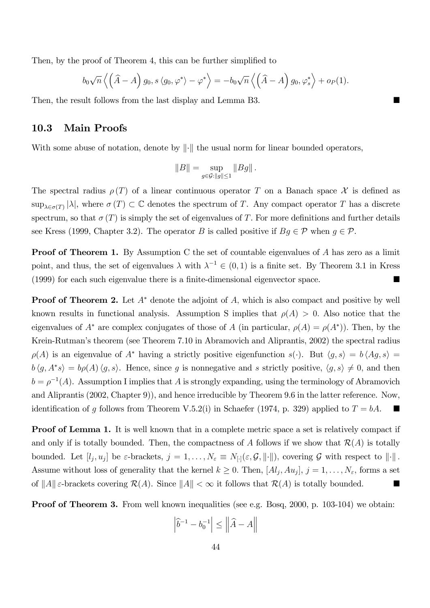Then, by the proof of Theorem 4, this can be further simplified to

$$
b_0\sqrt{n}\left\langle \left(\widehat{A}-A\right)g_0, s\left\langle g_0, \varphi^*\right\rangle - \varphi^*\right\rangle = -b_0\sqrt{n}\left\langle \left(\widehat{A}-A\right)g_0, \varphi_s^*\right\rangle + o_P(1).
$$

Then, the result follows from the last display and Lemma B3.

### 10.3 Main Proofs

With some abuse of notation, denote by  $\|\cdot\|$  the usual norm for linear bounded operators,

$$
||B|| = \sup_{g \in \mathcal{G}: ||g|| \le 1} ||Bg||.
$$

The spectral radius  $\rho(T)$  of a linear continuous operator T on a Banach space X is defined as  $\sup_{\lambda \in \sigma(T)} |\lambda|$ , where  $\sigma(T) \subset \mathbb{C}$  denotes the spectrum of T. Any compact operator T has a discrete spectrum, so that  $\sigma(T)$  is simply the set of eigenvalues of T. For more definitions and further details see Kress (1999, Chapter 3.2). The operator B is called positive if  $Bg \in \mathcal{P}$  when  $g \in \mathcal{P}$ .

**Proof of Theorem 1.** By Assumption C the set of countable eigenvalues of A has zero as a limit point, and thus, the set of eigenvalues  $\lambda$  with  $\lambda^{-1} \in (0,1)$  is a finite set. By Theorem 3.1 in Kress (1999) for each such eigenvalue there is a Önite-dimensional eigenvector space.

**Proof of Theorem 2.** Let  $A^*$  denote the adjoint of A, which is also compact and positive by well known results in functional analysis. Assumption S implies that  $\rho(A) > 0$ . Also notice that the eigenvalues of  $A^*$  are complex conjugates of those of A (in particular,  $\rho(A) = \rho(A^*)$ ). Then, by the Krein-Rutman's theorem (see Theorem 7.10 in Abramovich and Aliprantis, 2002) the spectral radius  $\rho(A)$  is an eigenvalue of  $A^*$  having a strictly positive eigenfunction  $s(\cdot)$ . But  $\langle g, s \rangle = b \langle Ag, s \rangle =$  $b \langle g, A^*s \rangle = b\rho(A) \langle g, s \rangle$ . Hence, since g is nonnegative and s strictly positive,  $\langle g, s \rangle \neq 0$ , and then  $b = \rho^{-1}(A)$ . Assumption I implies that A is strongly expanding, using the terminology of Abramovich and Aliprantis (2002, Chapter 9)), and hence irreducible by Theorem 9.6 in the latter reference. Now, identification of g follows from Theorem V.5.2(i) in Schaefer (1974, p. 329) applied to  $T = bA$ .

Proof of Lemma 1. It is well known that in a complete metric space a set is relatively compact if and only if is totally bounded. Then, the compactness of A follows if we show that  $\mathcal{R}(A)$  is totally bounded. Let  $[l_j, u_j]$  be  $\varepsilon$ -brackets,  $j = 1, \ldots, N_{\varepsilon} \equiv N_{[.]}(\varepsilon, \mathcal{G}, ||\cdot||)$ , covering  $\mathcal G$  with respect to  $||\cdot||$ . Assume without loss of generality that the kernel  $k \geq 0$ . Then,  $[A_{j}, A_{u_{j}}]$ ,  $j = 1, \ldots, N_{\varepsilon}$ , forms a set of  $||A||\varepsilon$ -brackets covering  $\mathcal{R}(A)$ . Since  $||A|| < \infty$  it follows that  $\mathcal{R}(A)$  is totally bounded.

**Proof of Theorem 3.** From well known inequalities (see e.g. Bosq, 2000, p. 103-104) we obtain:

$$
\left|\widehat{b}^{-1} - b_0^{-1}\right| \le \left\|\widehat{A} - A\right\|
$$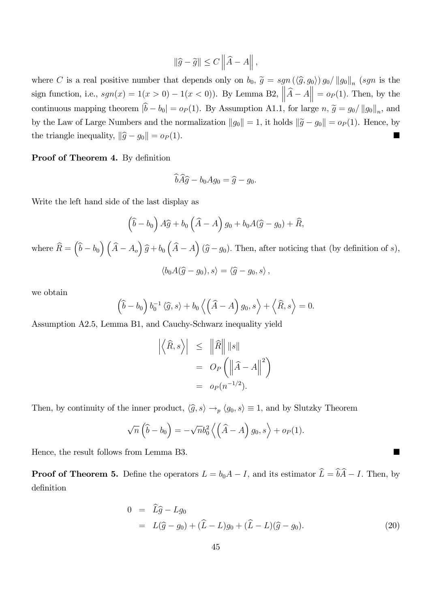$$
\|\widehat{g} - \widetilde{g}\| \le C \left\|\widehat{A} - A\right\|,
$$

where C is a real positive number that depends only on  $b_0$ ,  $\tilde{g} = sgn(\langle \hat{g}, g_0 \rangle) g_0 / ||g_0||_n$  (sgn is the sign function, i.e.,  $sgn(x) = 1(x > 0) - 1(x < 0)$ ). By Lemma B2,  $\left\| \widehat{A} - A \right\| = o_P(1)$ . Then, by the continuous mapping theorem  $|b - b_0| = o_P (1)$ . By Assumption A1.1, for large  $n, \tilde{g} = g_0 / ||g_0||_n$ , and by the Law of Large Numbers and the normalization  $||g_0|| = 1$ , it holds  $||\tilde{g} - g_0|| = o_P(1)$ . Hence, by the triangle inequality,  $\|\hat{g} - g_0\| = o_P (1)$ .

### Proof of Theorem 4. By definition

$$
\widehat{b} \widehat{A} \widehat{g} - b_0 A g_0 = \widehat{g} - g_0.
$$

Write the left hand side of the last display as

$$
\left(\widehat{b} - b_0\right) A\widehat{g} + b_0 \left(\widehat{A} - A\right) g_0 + b_0 A(\widehat{g} - g_0) + \widehat{R},
$$
  
where  $\widehat{R} = \left(\widehat{b} - b_0\right) \left(\widehat{A} - A_0\right) \widehat{g} + b_0 \left(\widehat{A} - A\right) (\widehat{g} - g_0).$  Then, after noticing that (by definition of s),  

$$
\langle b_0 A(\widehat{g} - g_0), s \rangle = \langle \widehat{g} - g_0, s \rangle,
$$

we obtain

$$
(\widehat{b} - b_0) b_0^{-1} \langle \widehat{g}, s \rangle + b_0 \langle (\widehat{A} - A) g_0, s \rangle + \langle \widehat{R}, s \rangle = 0.
$$

Assumption A2.5, Lemma B1, and Cauchy-Schwarz inequality yield

$$
\left| \left\langle \widehat{R}, s \right\rangle \right| \leq \left\| \widehat{R} \right\| \left\| s \right\|
$$
  
=  $O_P \left( \left\| \widehat{A} - A \right\|^2 \right)$   
=  $o_P(n^{-1/2}).$ 

Then, by continuity of the inner product,  $\langle \hat{g}, s \rangle \to_p \langle g_0, s \rangle \equiv 1$ , and by Slutzky Theorem

$$
\sqrt{n}\left(\widehat{b}-b_0\right)=-\sqrt{n}b_0^2\left\langle \left(\widehat{A}-A\right)g_0,s\right\rangle+o_P(1).
$$

Hence, the result follows from Lemma B3.

**Proof of Theorem 5.** Define the operators  $L = b_0A - I$ , and its estimator  $\hat{L} = \hat{b}\hat{A} - I$ . Then, by definition

$$
0 = \widehat{L}\widehat{g} - Lg_0
$$
  
=  $L(\widehat{g} - g_0) + (\widehat{L} - L)g_0 + (\widehat{L} - L)(\widehat{g} - g_0).$  (20)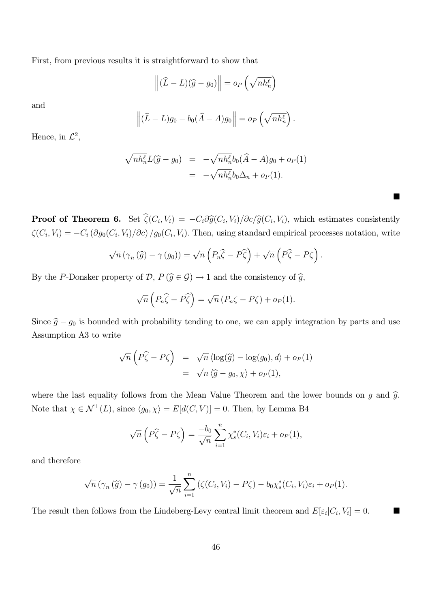First, from previous results it is straightforward to show that

$$
\left\| (\widehat{L} - L)(\widehat{g} - g_0) \right\| = o_P\left(\sqrt{n h_n^{\ell}}\right)
$$

and

$$
\left\| (\widehat{L} - L)g_0 - b_0(\widehat{A} - A)g_0 \right\| = o_P\left(\sqrt{n h_n^{\ell}}\right)
$$

:

 $\blacksquare$ 

Hence, in  $\mathcal{L}^2$ ,

$$
\sqrt{nh_n^{\ell}}L(\widehat{g}-g_0) = -\sqrt{nh_n^{\ell}}b_0(\widehat{A}-A)g_0 + o_P(1)
$$
  
= 
$$
-\sqrt{nh_n^{\ell}}b_0\Delta_n + o_P(1).
$$

**Proof of Theorem 6.** Set  $\zeta(C_i, V_i) = -C_i \partial \hat{g}(C_i, V_i) / \partial c / \hat{g}(C_i, V_i)$ , which estimates consistently  $\zeta(C_i, V_i) = -C_i (\partial g_0(C_i, V_i)/\partial c) /g_0(C_i, V_i)$ . Then, using standard empirical processes notation, write

$$
\sqrt{n} \left( \gamma_n \left( \widehat{g} \right) - \gamma \left( g_0 \right) \right) = \sqrt{n} \left( P_n \widehat{\zeta} - P \widehat{\zeta} \right) + \sqrt{n} \left( P \widehat{\zeta} - P \zeta \right).
$$

By the P-Donsker property of  $\mathcal{D}, P(\hat{g} \in \mathcal{G}) \to 1$  and the consistency of  $\hat{g}$ ,

$$
\sqrt{n}\left(P_n\hat{\zeta}-P\hat{\zeta}\right)=\sqrt{n}\left(P_n\zeta-P\zeta\right)+o_P(1).
$$

Since  $\hat{g} - g_0$  is bounded with probability tending to one, we can apply integration by parts and use Assumption A3 to write

$$
\sqrt{n}\left(P\hat{\zeta} - P\zeta\right) = \sqrt{n}\left\langle \log(\hat{g}) - \log(g_0), d \right\rangle + o_P(1)
$$
  
= 
$$
\sqrt{n}\left\langle \hat{g} - g_0, \chi \right\rangle + o_P(1),
$$

where the last equality follows from the Mean Value Theorem and the lower bounds on  $g$  and  $\hat{g}$ . Note that  $\chi \in \mathcal{N}^{\perp}(L)$ , since  $\langle g_0, \chi \rangle = E[d(C, V)] = 0$ . Then, by Lemma B4

$$
\sqrt{n}\left(P\widehat{\zeta} - P\zeta\right) = \frac{-b_0}{\sqrt{n}} \sum_{i=1}^n \chi_s^*(C_i, V_i) \varepsilon_i + o_P(1),
$$

and therefore

$$
\sqrt{n}(\gamma_n(\widehat{g}) - \gamma(g_0)) = \frac{1}{\sqrt{n}} \sum_{i=1}^n (\zeta(C_i, V_i) - P\zeta) - b_0 \chi_s^*(C_i, V_i) \varepsilon_i + o_P(1).
$$

The result then follows from the Lindeberg-Levy central limit theorem and  $E[\varepsilon_i|C_i, V_i] = 0$ .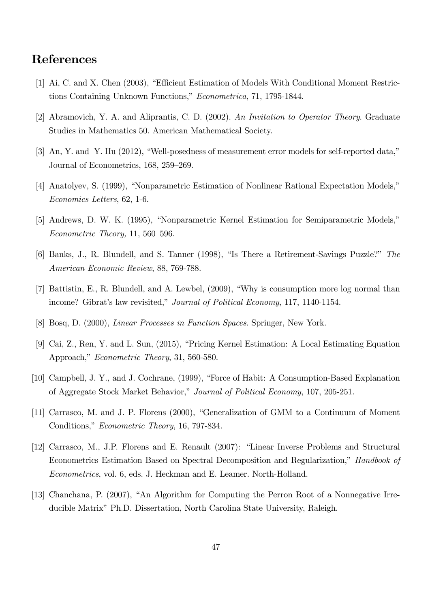## References

- [1] Ai, C. and X. Chen (2003), "Efficient Estimation of Models With Conditional Moment Restrictions Containing Unknown Functions," Econometrica, 71, 1795-1844.
- [2] Abramovich, Y. A. and Aliprantis, C. D. (2002). An Invitation to Operator Theory. Graduate Studies in Mathematics 50. American Mathematical Society.
- [3] An, Y. and Y. Hu  $(2012)$ , "Well-posedness of measurement error models for self-reported data," Journal of Econometrics, 168, 259-269.
- [4] Anatolyev, S. (1999), "Nonparametric Estimation of Nonlinear Rational Expectation Models," Economics Letters, 62, 1-6.
- [5] Andrews, D. W. K. (1995), "Nonparametric Kernel Estimation for Semiparametric Models,"  $Econometric Theory, 11, 560–596.$
- [6] Banks, J., R. Blundell, and S. Tanner (1998), "Is There a Retirement-Savings Puzzle?" The American Economic Review, 88, 769-788.
- [7] Battistin, E., R. Blundell, and A. Lewbel, (2009), "Why is consumption more log normal than income? Gibrat's law revisited," Journal of Political Economy, 117, 1140-1154.
- [8] Bosq, D. (2000), Linear Processes in Function Spaces. Springer, New York.
- [9] Cai, Z., Ren, Y. and L. Sun, (2015), "Pricing Kernel Estimation: A Local Estimating Equation Approach," Econometric Theory, 31, 560-580.
- [10] Campbell, J. Y., and J. Cochrane, (1999), "Force of Habit: A Consumption-Based Explanation of Aggregate Stock Market Behavior," Journal of Political Economy, 107, 205-251.
- [11] Carrasco, M. and J. P. Florens (2000), "Generalization of GMM to a Continuum of Moment Conditions," Econometric Theory, 16, 797-834.
- [12] Carrasco, M., J.P. Florens and E. Renault (2007): "Linear Inverse Problems and Structural Econometrics Estimation Based on Spectral Decomposition and Regularization," Handbook of Econometrics, vol. 6, eds. J. Heckman and E. Leamer. North-Holland.
- [13] Chanchana, P. (2007), "An Algorithm for Computing the Perron Root of a Nonnegative Irreducible Matrix" Ph.D. Dissertation, North Carolina State University, Raleigh.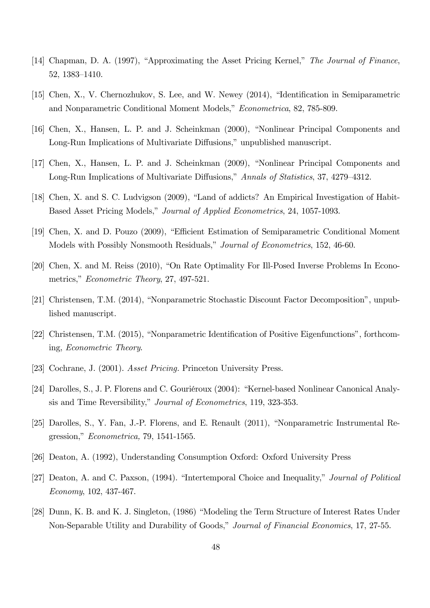- [14] Chapman, D. A. (1997), "Approximating the Asset Pricing Kernel," The Journal of Finance, 52, 1383-1410.
- [15] Chen, X., V. Chernozhukov, S. Lee, and W. Newey  $(2014)$ , "Identification in Semiparametric and Nonparametric Conditional Moment Models," Econometrica, 82, 785-809.
- [16] Chen, X., Hansen, L. P. and J. Scheinkman (2000), "Nonlinear Principal Components and Long-Run Implications of Multivariate Diffusions," unpublished manuscript.
- [17] Chen, X., Hansen, L. P. and J. Scheinkman (2009), "Nonlinear Principal Components and Long-Run Implications of Multivariate Diffusions," Annals of Statistics, 37, 4279–4312.
- [18] Chen, X. and S. C. Ludvigson (2009), "Land of addicts? An Empirical Investigation of Habit-Based Asset Pricing Models," Journal of Applied Econometrics, 24, 1057-1093.
- [19] Chen, X. and D. Pouzo (2009), "Efficient Estimation of Semiparametric Conditional Moment Models with Possibly Nonsmooth Residuals," Journal of Econometrics, 152, 46-60.
- [20] Chen, X. and M. Reiss (2010), "On Rate Optimality For Ill-Posed Inverse Problems In Econometrics," Econometric Theory, 27, 497-521.
- [21] Christensen, T.M. (2014), "Nonparametric Stochastic Discount Factor Decomposition", unpublished manuscript.
- [22] Christensen, T.M. (2015), "Nonparametric Identification of Positive Eigenfunctions", forthcoming, Econometric Theory.
- [23] Cochrane, J. (2001). Asset Pricing. Princeton University Press.
- [24] Darolles, S., J. P. Florens and C. Gouriéroux (2004): "Kernel-based Nonlinear Canonical Analysis and Time Reversibility," *Journal of Econometrics*, 119, 323-353.
- [25] Darolles, S., Y. Fan, J.-P. Florens, and E. Renault (2011), "Nonparametric Instrumental Re $gression, "Econometrica, 79, 1541-1565.$
- [26] Deaton, A. (1992), Understanding Consumption Oxford: Oxford University Press
- [27] Deaton, A. and C. Paxson, (1994). "Intertemporal Choice and Inequality," Journal of Political Economy, 102, 437-467.
- [28] Dunn, K. B. and K. J. Singleton, (1986) "Modeling the Term Structure of Interest Rates Under Non-Separable Utility and Durability of Goods," Journal of Financial Economics, 17, 27-55.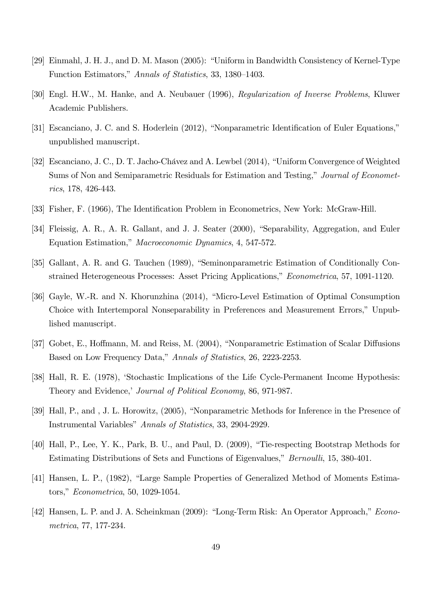- [29] Einmahl, J. H. J., and D. M. Mason (2005): "Uniform in Bandwidth Consistency of Kernel-Type Function Estimators," Annals of Statistics, 33, 1380–1403.
- [30] Engl. H.W., M. Hanke, and A. Neubauer (1996), Regularization of Inverse Problems, Kluwer Academic Publishers.
- [31] Escanciano, J. C. and S. Hoderlein (2012), "Nonparametric Identification of Euler Equations," unpublished manuscript.
- [32] Escanciano, J. C., D. T. Jacho-Chávez and A. Lewbel (2014), "Uniform Convergence of Weighted Sums of Non and Semiparametric Residuals for Estimation and Testing," Journal of Econometrics, 178, 426-443.
- [33] Fisher, F. (1966), The Identification Problem in Econometrics, New York: McGraw-Hill.
- [34] Fleissig, A. R., A. R. Gallant, and J. J. Seater (2000), "Separability, Aggregation, and Euler Equation Estimation," Macroeconomic Dynamics, 4, 547-572.
- [35] Gallant, A. R. and G. Tauchen (1989), "Seminonparametric Estimation of Conditionally Constrained Heterogeneous Processes: Asset Pricing Applications," Econometrica, 57, 1091-1120.
- [36] Gayle, W.-R. and N. Khorunzhina (2014), "Micro-Level Estimation of Optimal Consumption Choice with Intertemporal Nonseparability in Preferences and Measurement Errors," Unpublished manuscript.
- [37] Gobet, E., Hoffmann, M. and Reiss, M. (2004), "Nonparametric Estimation of Scalar Diffusions Based on Low Frequency Data," Annals of Statistics, 26, 2223-2253.
- [38] Hall, R. E. (1978), 'Stochastic Implications of the Life Cycle-Permanent Income Hypothesis: Theory and Evidence,' Journal of Political Economy, 86, 971-987.
- [39] Hall, P., and , J. L. Horowitz, (2005), "Nonparametric Methods for Inference in the Presence of Instrumental Variables" Annals of Statistics, 33, 2904-2929.
- [40] Hall, P., Lee, Y. K., Park, B. U., and Paul, D. (2009), "Tie-respecting Bootstrap Methods for Estimating Distributions of Sets and Functions of Eigenvalues," *Bernoulli*, 15, 380-401.
- [41] Hansen, L. P., (1982), "Large Sample Properties of Generalized Method of Moments Estimators," *Econometrica*, 50, 1029-1054.
- [42] Hansen, L. P. and J. A. Scheinkman (2009): "Long-Term Risk: An Operator Approach," Econometrica, 77, 177-234.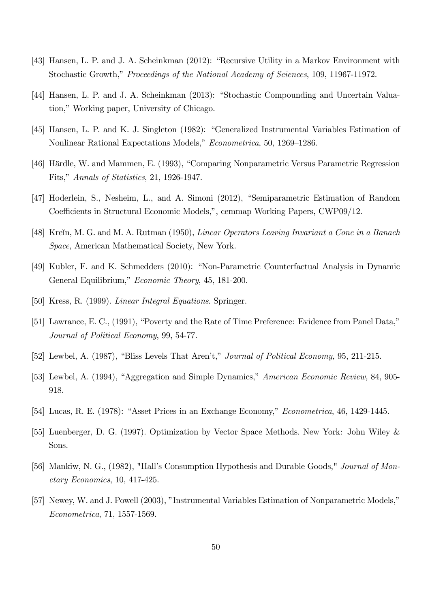- [43] Hansen, L. P. and J. A. Scheinkman (2012): "Recursive Utility in a Markov Environment with Stochastic Growth," Proceedings of the National Academy of Sciences, 109, 11967-11972.
- [44] Hansen, L. P. and J. A. Scheinkman (2013): "Stochastic Compounding and Uncertain Valuation," Working paper, University of Chicago.
- [45] Hansen, L. P. and K. J. Singleton (1982): "Generalized Instrumental Variables Estimation of Nonlinear Rational Expectations Models," Econometrica, 50, 1269–1286.
- [46] Härdle, W. and Mammen, E. (1993), "Comparing Nonparametric Versus Parametric Regression Fits," Annals of Statistics, 21, 1926-1947.
- [47] Hoderlein, S., Nesheim, L., and A. Simoni (2012), "Semiparametric Estimation of Random Coefficients in Structural Economic Models,", cemmap Working Papers, CWP09/12.
- [48] Krein, M. G. and M. A. Rutman (1950), *Linear Operators Leaving Invariant a Cone in a Banach* Space, American Mathematical Society, New York.
- [49] Kubler, F. and K. Schmedders (2010): "Non-Parametric Counterfactual Analysis in Dynamic General Equilibrium," Economic Theory, 45, 181-200.
- [50] Kress, R. (1999). Linear Integral Equations. Springer.
- [51] Lawrance, E. C., (1991), "Poverty and the Rate of Time Preference: Evidence from Panel Data," Journal of Political Economy, 99, 54-77.
- [52] Lewbel, A. (1987), "Bliss Levels That Aren't," *Journal of Political Economy*, 95, 211-215.
- [53] Lewbel, A. (1994), "Aggregation and Simple Dynamics," American Economic Review, 84, 905-918.
- [54] Lucas, R. E. (1978): "Asset Prices in an Exchange Economy," *Econometrica*, 46, 1429-1445.
- [55] Luenberger, D. G. (1997). Optimization by Vector Space Methods. New York: John Wiley & Sons.
- [56] Mankiw, N. G., (1982), "Hall's Consumption Hypothesis and Durable Goods," *Journal of Mon*etary Economics, 10, 417-425.
- [57] Newey, W. and J. Powell (2003), "Instrumental Variables Estimation of Nonparametric Models," Econometrica, 71, 1557-1569.